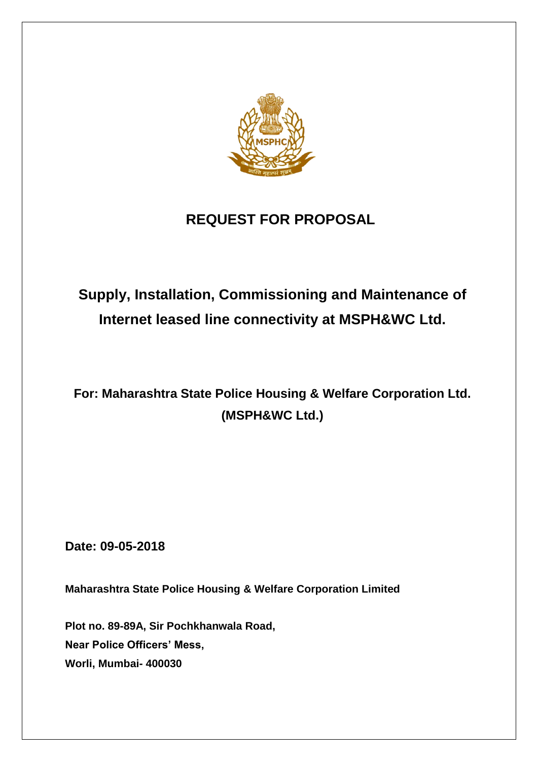

# **REQUEST FOR PROPOSAL**

# **Supply, Installation, Commissioning and Maintenance of Internet leased line connectivity at MSPH&WC Ltd.**

# **For: Maharashtra State Police Housing & Welfare Corporation Ltd. (MSPH&WC Ltd.)**

**Date: 09-05-2018**

**Maharashtra State Police Housing & Welfare Corporation Limited**

**Plot no. 89-89A, Sir Pochkhanwala Road, Near Police Officers' Mess, Worli, Mumbai- 400030**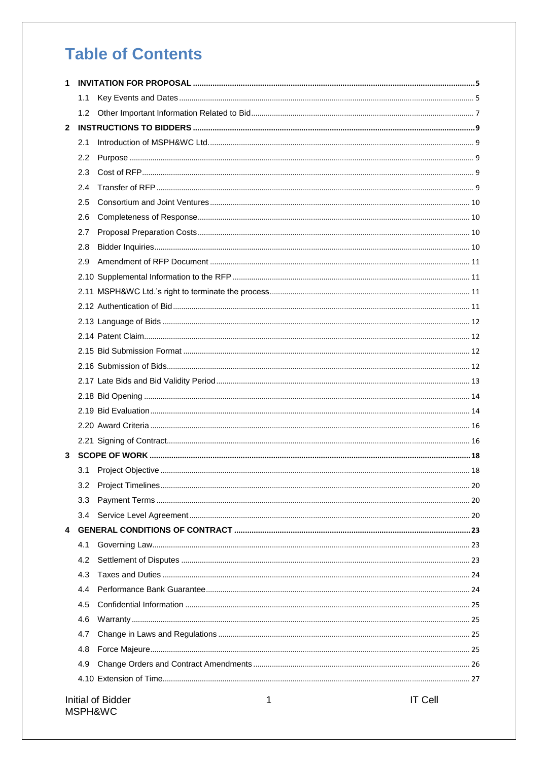# **Table of Contents**

|              | 1.1 |                                          |  |
|--------------|-----|------------------------------------------|--|
|              | 1.2 |                                          |  |
| $\mathbf{2}$ |     |                                          |  |
|              | 2.1 |                                          |  |
|              | 2.2 |                                          |  |
|              | 2.3 |                                          |  |
|              | 2.4 |                                          |  |
|              | 2.5 |                                          |  |
|              | 2.6 |                                          |  |
|              | 2.7 |                                          |  |
|              | 2.8 |                                          |  |
|              | 2.9 |                                          |  |
|              |     |                                          |  |
|              |     |                                          |  |
|              |     |                                          |  |
|              |     |                                          |  |
|              |     |                                          |  |
|              |     |                                          |  |
|              |     |                                          |  |
|              |     |                                          |  |
|              |     |                                          |  |
|              |     |                                          |  |
|              |     |                                          |  |
|              |     |                                          |  |
| 3            |     |                                          |  |
|              |     |                                          |  |
|              | 3.2 |                                          |  |
|              | 3.3 |                                          |  |
|              | 3.4 |                                          |  |
| 4            |     |                                          |  |
|              | 4.1 |                                          |  |
|              | 4.2 |                                          |  |
|              | 4.3 |                                          |  |
|              | 4.4 |                                          |  |
|              | 4.5 |                                          |  |
|              | 4.6 |                                          |  |
|              | 4.7 |                                          |  |
|              | 4.8 |                                          |  |
|              | 4.9 |                                          |  |
|              |     |                                          |  |
|              |     | <b>IT Cell</b><br>Initial of Bidder<br>1 |  |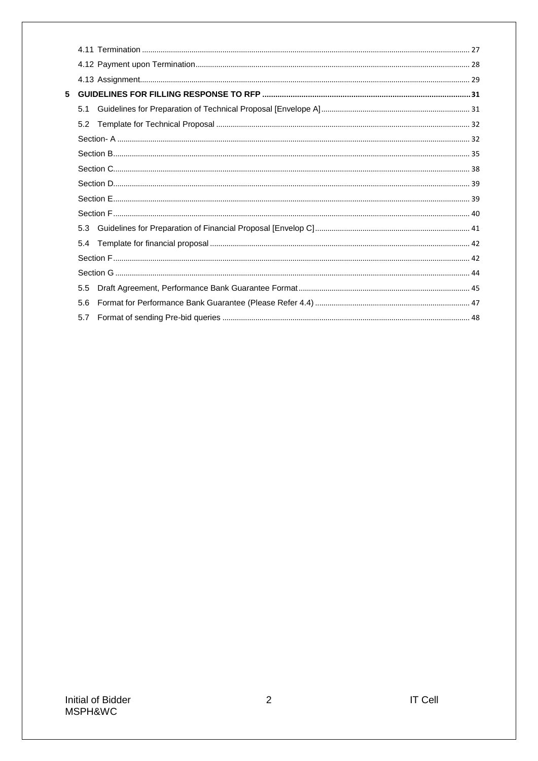| 5 |     |  |
|---|-----|--|
|   | 5.1 |  |
|   | 5.2 |  |
|   |     |  |
|   |     |  |
|   |     |  |
|   |     |  |
|   |     |  |
|   |     |  |
|   | 5.3 |  |
|   | 5.4 |  |
|   |     |  |
|   |     |  |
|   | 5.5 |  |
|   | 5.6 |  |
|   | 5.7 |  |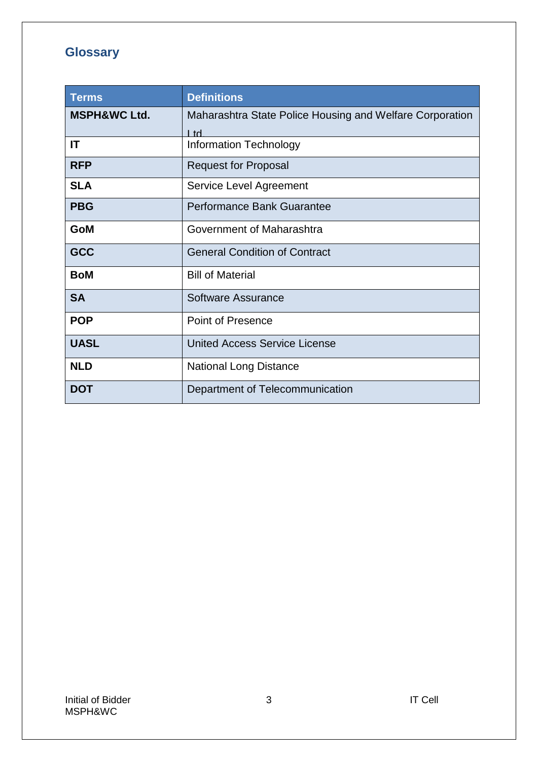# **Glossary**

| <b>Terms</b>            | <b>Definitions</b>                                               |
|-------------------------|------------------------------------------------------------------|
| <b>MSPH&amp;WC Ltd.</b> | Maharashtra State Police Housing and Welfare Corporation<br>l td |
| IT                      | <b>Information Technology</b>                                    |
| <b>RFP</b>              | <b>Request for Proposal</b>                                      |
| <b>SLA</b>              | Service Level Agreement                                          |
| <b>PBG</b>              | <b>Performance Bank Guarantee</b>                                |
| <b>GoM</b>              | Government of Maharashtra                                        |
| <b>GCC</b>              | <b>General Condition of Contract</b>                             |
| <b>BoM</b>              | <b>Bill of Material</b>                                          |
| <b>SA</b>               | Software Assurance                                               |
| <b>POP</b>              | <b>Point of Presence</b>                                         |
| <b>UASL</b>             | <b>United Access Service License</b>                             |
| <b>NLD</b>              | <b>National Long Distance</b>                                    |
| <b>DOT</b>              | Department of Telecommunication                                  |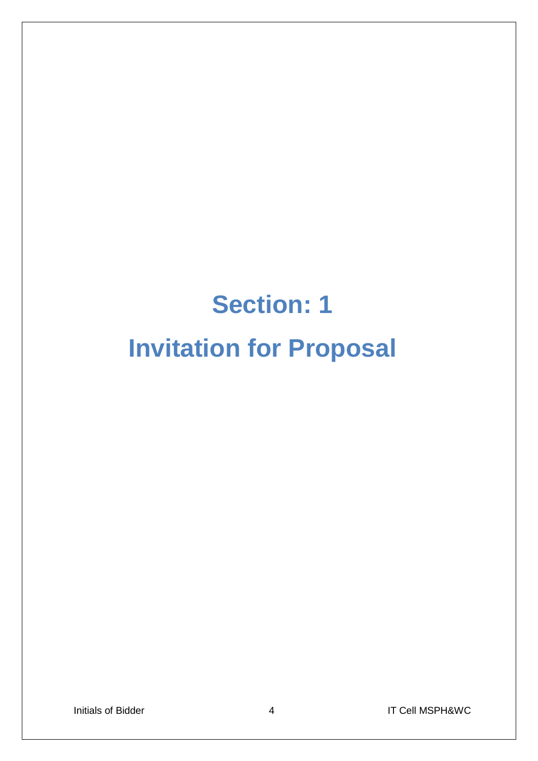# **Section: 1 Invitation for Proposal**

Initials of Bidder **4** 1T Cell MSPH&WC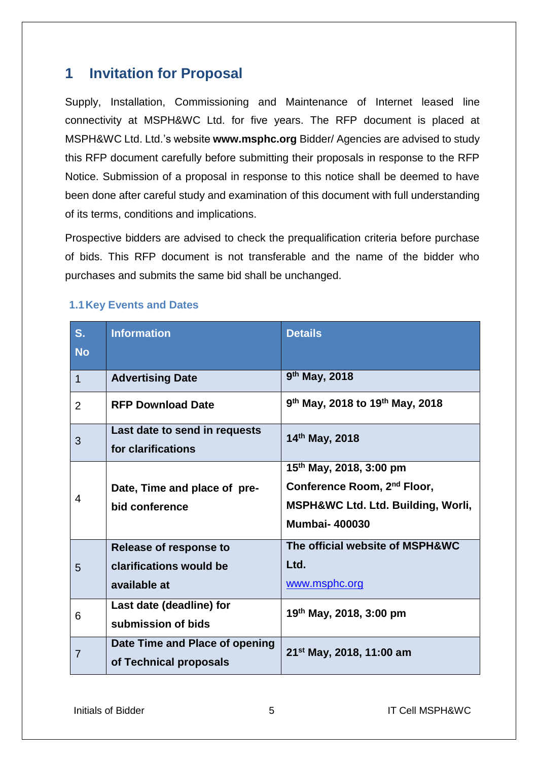# <span id="page-5-0"></span>**1 Invitation for Proposal**

Supply, Installation, Commissioning and Maintenance of Internet leased line connectivity at MSPH&WC Ltd. for five years. The RFP document is placed at MSPH&WC Ltd. Ltd.'s website **www.msphc.org** Bidder/ Agencies are advised to study this RFP document carefully before submitting their proposals in response to the RFP Notice. Submission of a proposal in response to this notice shall be deemed to have been done after careful study and examination of this document with full understanding of its terms, conditions and implications.

Prospective bidders are advised to check the prequalification criteria before purchase of bids. This RFP document is not transferable and the name of the bidder who purchases and submits the same bid shall be unchanged.

| $S_{1}$        | <b>Information</b>                                                | <b>Details</b>                                                                                                                               |
|----------------|-------------------------------------------------------------------|----------------------------------------------------------------------------------------------------------------------------------------------|
| <b>No</b>      |                                                                   |                                                                                                                                              |
| 1              | <b>Advertising Date</b>                                           | 9 <sup>th</sup> May, 2018                                                                                                                    |
| $\overline{2}$ | <b>RFP Download Date</b>                                          | 9 <sup>th</sup> May, 2018 to 19 <sup>th</sup> May, 2018                                                                                      |
| 3              | Last date to send in requests<br>for clarifications               | 14th May, 2018                                                                                                                               |
| 4              | Date, Time and place of pre-<br>bid conference                    | 15 <sup>th</sup> May, 2018, 3:00 pm<br>Conference Room, 2 <sup>nd</sup> Floor,<br>MSPH&WC Ltd. Ltd. Building, Worli,<br><b>Mumbai-400030</b> |
| 5              | Release of response to<br>clarifications would be<br>available at | The official website of MSPH&WC<br>Ltd.<br>www.msphc.org                                                                                     |
| 6              | Last date (deadline) for<br>submission of bids                    | 19 <sup>th</sup> May, 2018, 3:00 pm                                                                                                          |
| 7              | Date Time and Place of opening<br>of Technical proposals          | 21 <sup>st</sup> May, 2018, 11:00 am                                                                                                         |

## <span id="page-5-1"></span>**1.1Key Events and Dates**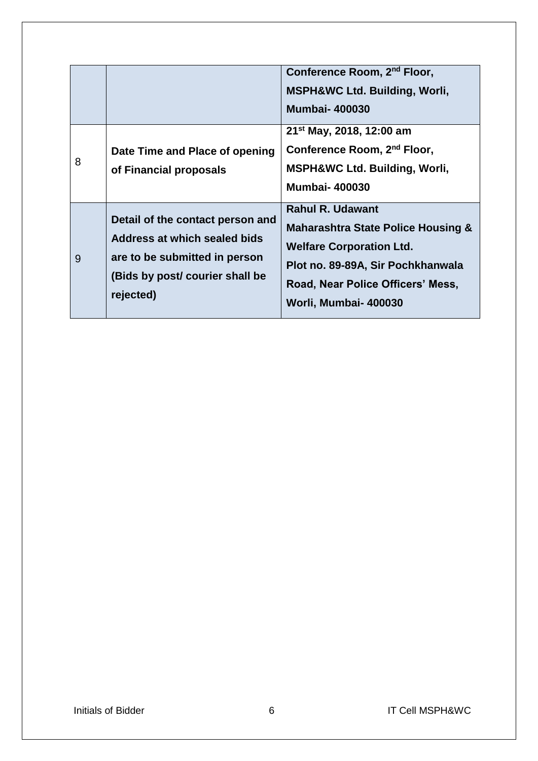|   |                                                                                                                                                   | Conference Room, 2 <sup>nd</sup> Floor,<br><b>MSPH&amp;WC Ltd. Building, Worli,</b><br><b>Mumbai-400030</b>                                                                                                    |
|---|---------------------------------------------------------------------------------------------------------------------------------------------------|----------------------------------------------------------------------------------------------------------------------------------------------------------------------------------------------------------------|
| 8 | Date Time and Place of opening<br>of Financial proposals                                                                                          | 21 <sup>st</sup> May, 2018, 12:00 am<br>Conference Room, 2 <sup>nd</sup> Floor,<br><b>MSPH&amp;WC Ltd. Building, Worli,</b><br><b>Mumbai-400030</b>                                                            |
| 9 | Detail of the contact person and<br>Address at which sealed bids<br>are to be submitted in person<br>(Bids by post/ courier shall be<br>rejected) | <b>Rahul R. Udawant</b><br><b>Maharashtra State Police Housing &amp;</b><br><b>Welfare Corporation Ltd.</b><br>Plot no. 89-89A, Sir Pochkhanwala<br>Road, Near Police Officers' Mess,<br>Worli, Mumbai- 400030 |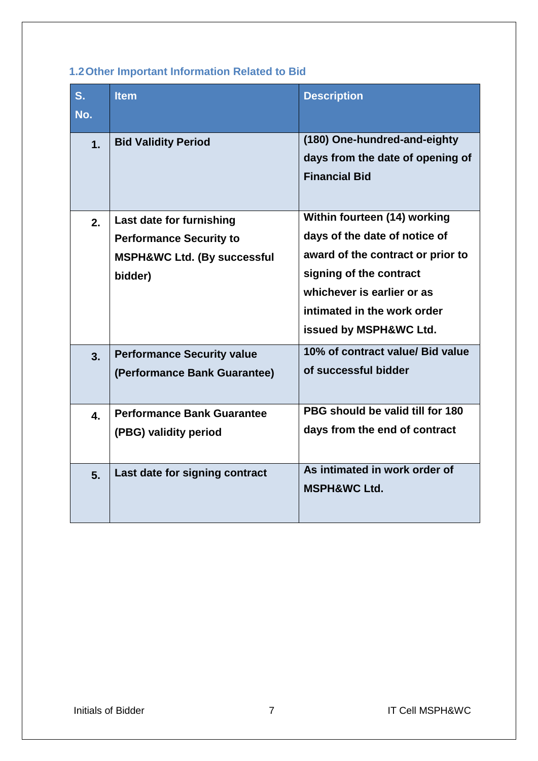# <span id="page-7-0"></span>**1.2Other Important Information Related to Bid**

| S.<br>No.      | <b>Item</b>                                                                                                     | <b>Description</b>                                                                                                                                                                                                   |
|----------------|-----------------------------------------------------------------------------------------------------------------|----------------------------------------------------------------------------------------------------------------------------------------------------------------------------------------------------------------------|
| 1.             | <b>Bid Validity Period</b>                                                                                      | (180) One-hundred-and-eighty<br>days from the date of opening of<br><b>Financial Bid</b>                                                                                                                             |
| 2.             | Last date for furnishing<br><b>Performance Security to</b><br><b>MSPH&amp;WC Ltd. (By successful</b><br>bidder) | Within fourteen (14) working<br>days of the date of notice of<br>award of the contract or prior to<br>signing of the contract<br>whichever is earlier or as<br>intimated in the work order<br>issued by MSPH&WC Ltd. |
| 3.             | <b>Performance Security value</b><br>(Performance Bank Guarantee)                                               | 10% of contract value/ Bid value<br>of successful bidder                                                                                                                                                             |
| 4.             | <b>Performance Bank Guarantee</b><br>(PBG) validity period                                                      | PBG should be valid till for 180<br>days from the end of contract                                                                                                                                                    |
| 5 <sub>1</sub> | Last date for signing contract                                                                                  | As intimated in work order of<br><b>MSPH&amp;WC Ltd.</b>                                                                                                                                                             |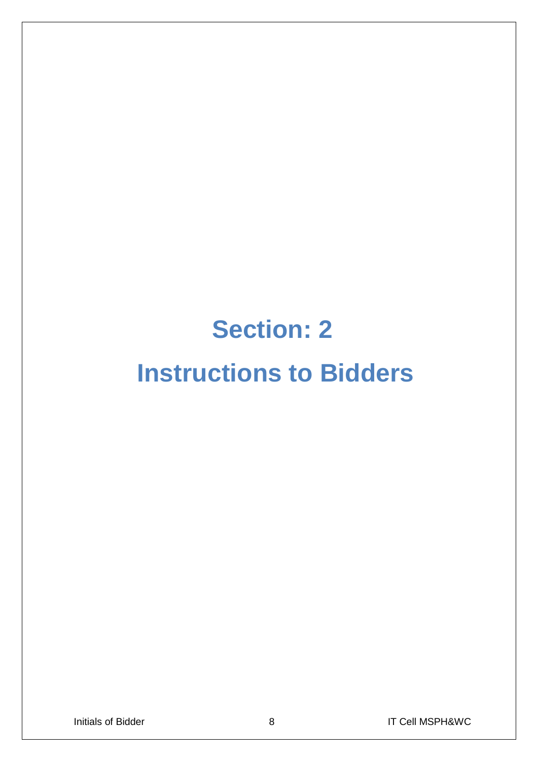# **Section: 2 Instructions to Bidders**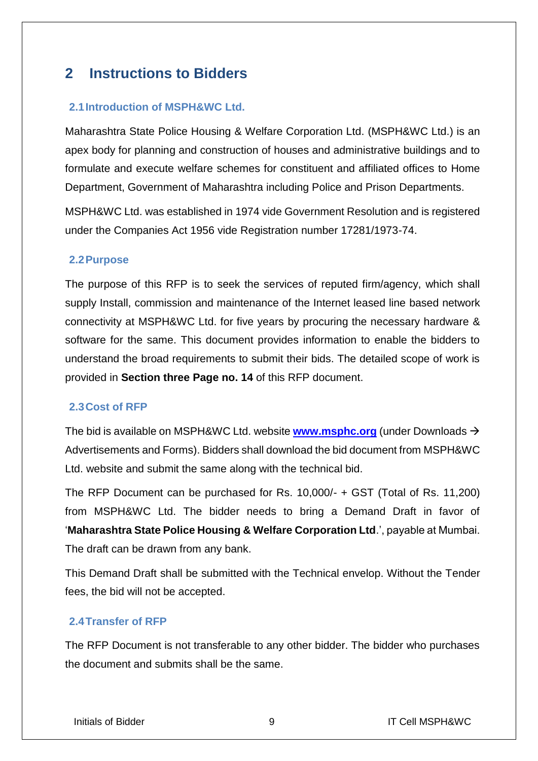# <span id="page-9-0"></span>**2 Instructions to Bidders**

## <span id="page-9-1"></span>**2.1Introduction of MSPH&WC Ltd.**

Maharashtra State Police Housing & Welfare Corporation Ltd. (MSPH&WC Ltd.) is an apex body for planning and construction of houses and administrative buildings and to formulate and execute welfare schemes for constituent and affiliated offices to Home Department, Government of Maharashtra including Police and Prison Departments.

MSPH&WC Ltd. was established in 1974 vide Government Resolution and is registered under the Companies Act 1956 vide Registration number 17281/1973-74.

## <span id="page-9-2"></span>**2.2Purpose**

The purpose of this RFP is to seek the services of reputed firm/agency, which shall supply Install, commission and maintenance of the Internet leased line based network connectivity at MSPH&WC Ltd. for five years by procuring the necessary hardware & software for the same. This document provides information to enable the bidders to understand the broad requirements to submit their bids. The detailed scope of work is provided in **Section three Page no. 14** of this RFP document.

## <span id="page-9-3"></span>**2.3Cost of RFP**

The bid is available on MSPH&WC Ltd. website **[www.msphc.org](http://www.msphc.org/)** (under Downloads Advertisements and Forms). Bidders shall download the bid document from MSPH&WC Ltd. website and submit the same along with the technical bid.

The RFP Document can be purchased for Rs. 10,000/- + GST (Total of Rs. 11,200) from MSPH&WC Ltd. The bidder needs to bring a Demand Draft in favor of '**Maharashtra State Police Housing & Welfare Corporation Ltd**.', payable at Mumbai. The draft can be drawn from any bank.

This Demand Draft shall be submitted with the Technical envelop. Without the Tender fees, the bid will not be accepted.

## <span id="page-9-4"></span>**2.4Transfer of RFP**

The RFP Document is not transferable to any other bidder. The bidder who purchases the document and submits shall be the same.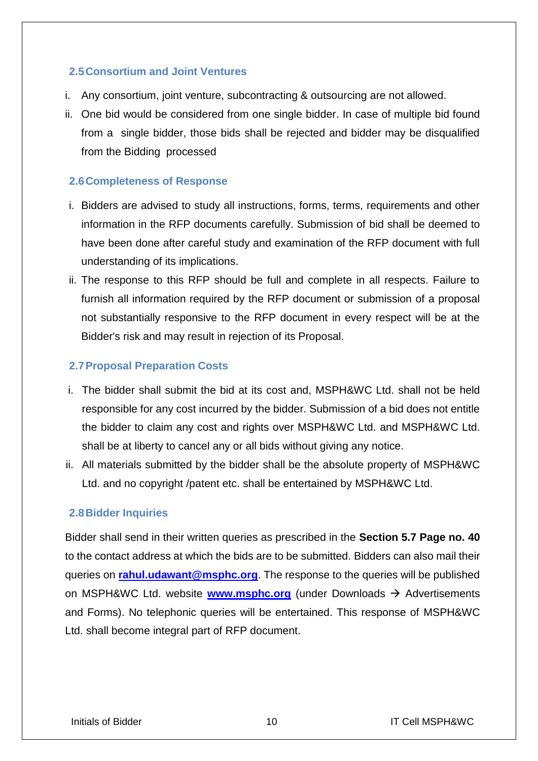## <span id="page-10-0"></span>**2.5Consortium and Joint Ventures**

- i. Any consortium, joint venture, subcontracting & outsourcing are not allowed.
- ii. One bid would be considered from one single bidder. In case of multiple bid found from a single bidder, those bids shall be rejected and bidder may be disqualified from the Bidding processed

## <span id="page-10-1"></span>**2.6Completeness of Response**

- i. Bidders are advised to study all instructions, forms, terms, requirements and other information in the RFP documents carefully. Submission of bid shall be deemed to have been done after careful study and examination of the RFP document with full understanding of its implications.
- ii. The response to this RFP should be full and complete in all respects. Failure to furnish all information required by the RFP document or submission of a proposal not substantially responsive to the RFP document in every respect will be at the Bidder's risk and may result in rejection of its Proposal.

## <span id="page-10-2"></span>**2.7Proposal Preparation Costs**

- i. The bidder shall submit the bid at its cost and, MSPH&WC Ltd. shall not be held responsible for any cost incurred by the bidder. Submission of a bid does not entitle the bidder to claim any cost and rights over MSPH&WC Ltd. and MSPH&WC Ltd. shall be at liberty to cancel any or all bids without giving any notice.
- ii. All materials submitted by the bidder shall be the absolute property of MSPH&WC Ltd. and no copyright /patent etc. shall be entertained by MSPH&WC Ltd.

## <span id="page-10-3"></span>**2.8Bidder Inquiries**

Bidder shall send in their written queries as prescribed in the **Section 5.7 Page no. 40** to the contact address at which the bids are to be submitted. Bidders can also mail their queries on **[rahul.udawant@msphc.org](mailto:rahul.udawant@msphc.org)**. The response to the queries will be published on MSPH&WC Ltd. website **[www.msphc.org](http://www.msphc.org/)** (under Downloads → Advertisements and Forms). No telephonic queries will be entertained. This response of MSPH&WC Ltd. shall become integral part of RFP document.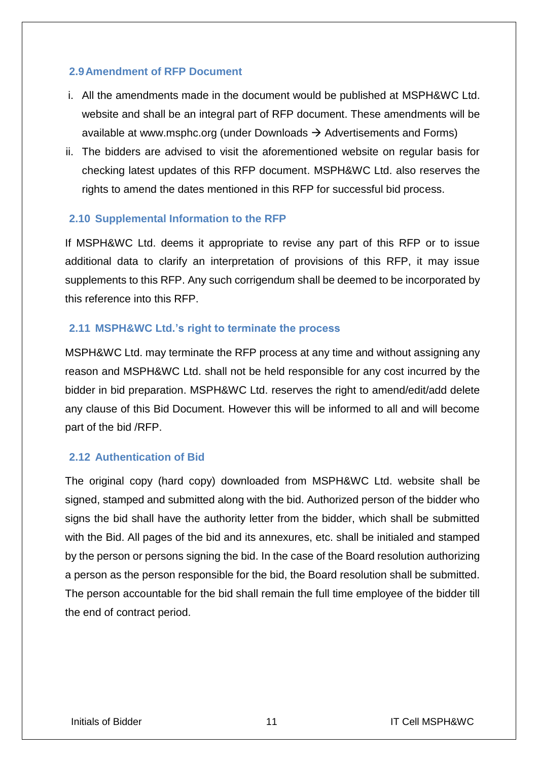## <span id="page-11-0"></span>**2.9Amendment of RFP Document**

- i. All the amendments made in the document would be published at MSPH&WC Ltd. website and shall be an integral part of RFP document. These amendments will be available at [www.msphc.org](http://www.msphc.org/) (under Downloads  $\rightarrow$  Advertisements and Forms)
- ii. The bidders are advised to visit the aforementioned website on regular basis for checking latest updates of this RFP document. MSPH&WC Ltd. also reserves the rights to amend the dates mentioned in this RFP for successful bid process.

## <span id="page-11-1"></span>**2.10 Supplemental Information to the RFP**

If MSPH&WC Ltd. deems it appropriate to revise any part of this RFP or to issue additional data to clarify an interpretation of provisions of this RFP, it may issue supplements to this RFP. Any such corrigendum shall be deemed to be incorporated by this reference into this RFP.

## <span id="page-11-2"></span>**2.11 MSPH&WC Ltd.'s right to terminate the process**

MSPH&WC Ltd. may terminate the RFP process at any time and without assigning any reason and MSPH&WC Ltd. shall not be held responsible for any cost incurred by the bidder in bid preparation. MSPH&WC Ltd. reserves the right to amend/edit/add delete any clause of this Bid Document. However this will be informed to all and will become part of the bid /RFP.

## <span id="page-11-3"></span>**2.12 Authentication of Bid**

The original copy (hard copy) downloaded from MSPH&WC Ltd. website shall be signed, stamped and submitted along with the bid. Authorized person of the bidder who signs the bid shall have the authority letter from the bidder, which shall be submitted with the Bid. All pages of the bid and its annexures, etc. shall be initialed and stamped by the person or persons signing the bid. In the case of the Board resolution authorizing a person as the person responsible for the bid, the Board resolution shall be submitted. The person accountable for the bid shall remain the full time employee of the bidder till the end of contract period.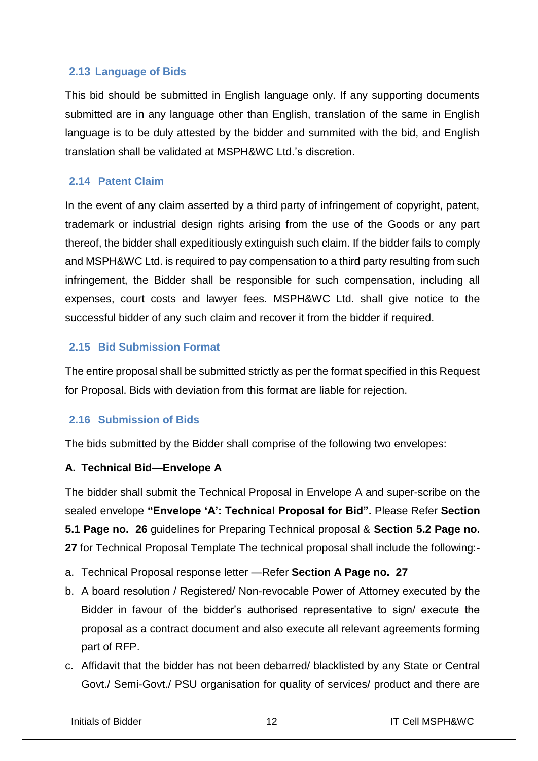## <span id="page-12-0"></span>**2.13 Language of Bids**

This bid should be submitted in English language only. If any supporting documents submitted are in any language other than English, translation of the same in English language is to be duly attested by the bidder and summited with the bid, and English translation shall be validated at MSPH&WC Ltd.'s discretion.

## <span id="page-12-1"></span>**2.14 Patent Claim**

In the event of any claim asserted by a third party of infringement of copyright, patent, trademark or industrial design rights arising from the use of the Goods or any part thereof, the bidder shall expeditiously extinguish such claim. If the bidder fails to comply and MSPH&WC Ltd. is required to pay compensation to a third party resulting from such infringement, the Bidder shall be responsible for such compensation, including all expenses, court costs and lawyer fees. MSPH&WC Ltd. shall give notice to the successful bidder of any such claim and recover it from the bidder if required.

## <span id="page-12-2"></span>**2.15 Bid Submission Format**

The entire proposal shall be submitted strictly as per the format specified in this Request for Proposal. Bids with deviation from this format are liable for rejection.

## <span id="page-12-3"></span>**2.16 Submission of Bids**

The bids submitted by the Bidder shall comprise of the following two envelopes:

## **A. Technical Bid—Envelope A**

The bidder shall submit the Technical Proposal in Envelope A and super-scribe on the sealed envelope **"Envelope 'A': Technical Proposal for Bid".** Please Refer **Section 5.1 Page no. 26** guidelines for Preparing Technical proposal & **Section 5.2 Page no. 27** for Technical Proposal Template The technical proposal shall include the following:-

- a. Technical Proposal response letter —Refer **Section A Page no. 27**
- b. A board resolution / Registered/ Non-revocable Power of Attorney executed by the Bidder in favour of the bidder's authorised representative to sign/ execute the proposal as a contract document and also execute all relevant agreements forming part of RFP.
- c. Affidavit that the bidder has not been debarred/ blacklisted by any State or Central Govt./ Semi-Govt./ PSU organisation for quality of services/ product and there are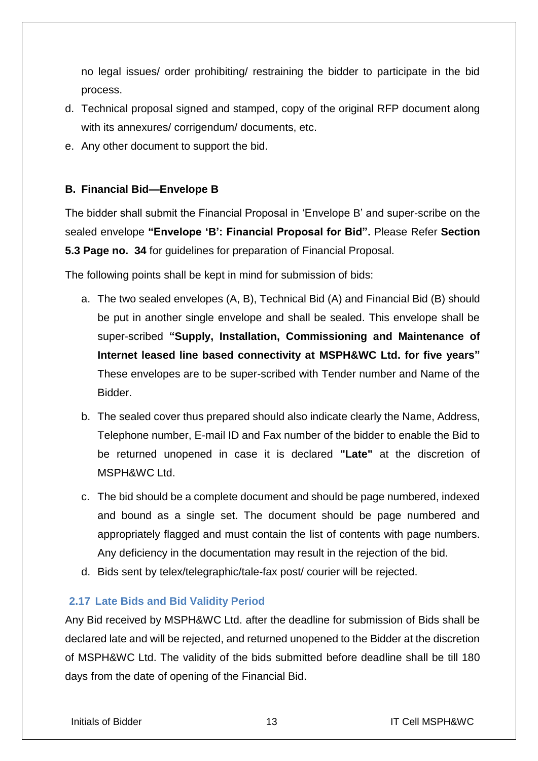no legal issues/ order prohibiting/ restraining the bidder to participate in the bid process.

- d. Technical proposal signed and stamped, copy of the original RFP document along with its annexures/ corrigendum/ documents, etc.
- e. Any other document to support the bid.

## **B. Financial Bid—Envelope B**

The bidder shall submit the Financial Proposal in 'Envelope B' and super-scribe on the sealed envelope **"Envelope 'B': Financial Proposal for Bid".** Please Refer **Section 5.3 Page no. 34** for guidelines for preparation of Financial Proposal.

The following points shall be kept in mind for submission of bids:

- a. The two sealed envelopes (A, B), Technical Bid (A) and Financial Bid (B) should be put in another single envelope and shall be sealed. This envelope shall be super-scribed **"Supply, Installation, Commissioning and Maintenance of Internet leased line based connectivity at MSPH&WC Ltd. for five years"** These envelopes are to be super-scribed with Tender number and Name of the Bidder.
- b. The sealed cover thus prepared should also indicate clearly the Name, Address, Telephone number, E-mail ID and Fax number of the bidder to enable the Bid to be returned unopened in case it is declared **"Late"** at the discretion of MSPH&WC Ltd.
- c. The bid should be a complete document and should be page numbered, indexed and bound as a single set. The document should be page numbered and appropriately flagged and must contain the list of contents with page numbers. Any deficiency in the documentation may result in the rejection of the bid.
- d. Bids sent by telex/telegraphic/tale-fax post/ courier will be rejected.

## <span id="page-13-0"></span>**2.17 Late Bids and Bid Validity Period**

Any Bid received by MSPH&WC Ltd. after the deadline for submission of Bids shall be declared late and will be rejected, and returned unopened to the Bidder at the discretion of MSPH&WC Ltd. The validity of the bids submitted before deadline shall be till 180 days from the date of opening of the Financial Bid.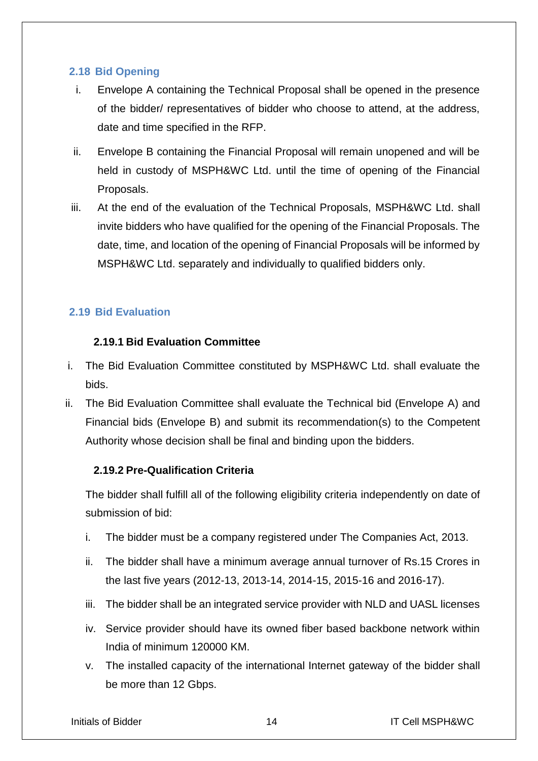## <span id="page-14-0"></span>**2.18 Bid Opening**

- i. Envelope A containing the Technical Proposal shall be opened in the presence of the bidder/ representatives of bidder who choose to attend, at the address, date and time specified in the RFP.
- ii. Envelope B containing the Financial Proposal will remain unopened and will be held in custody of MSPH&WC Ltd. until the time of opening of the Financial Proposals.
- iii. At the end of the evaluation of the Technical Proposals, MSPH&WC Ltd. shall invite bidders who have qualified for the opening of the Financial Proposals. The date, time, and location of the opening of Financial Proposals will be informed by MSPH&WC Ltd. separately and individually to qualified bidders only.

## <span id="page-14-1"></span>**2.19 Bid Evaluation**

## **2.19.1 Bid Evaluation Committee**

- i. The Bid Evaluation Committee constituted by MSPH&WC Ltd. shall evaluate the bids.
- ii. The Bid Evaluation Committee shall evaluate the Technical bid (Envelope A) and Financial bids (Envelope B) and submit its recommendation(s) to the Competent Authority whose decision shall be final and binding upon the bidders.

## **2.19.2 Pre-Qualification Criteria**

The bidder shall fulfill all of the following eligibility criteria independently on date of submission of bid:

- i. The bidder must be a company registered under The Companies Act, 2013.
- ii. The bidder shall have a minimum average annual turnover of Rs.15 Crores in the last five years (2012-13, 2013-14, 2014-15, 2015-16 and 2016-17).
- iii. The bidder shall be an integrated service provider with NLD and UASL licenses
- iv. Service provider should have its owned fiber based backbone network within India of minimum 120000 KM.
- v. The installed capacity of the international Internet gateway of the bidder shall be more than 12 Gbps.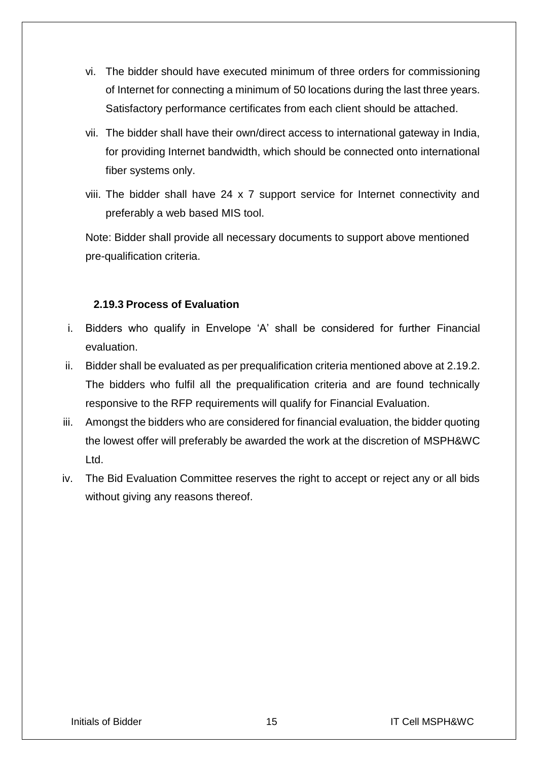- vi. The bidder should have executed minimum of three orders for commissioning of Internet for connecting a minimum of 50 locations during the last three years. Satisfactory performance certificates from each client should be attached.
- vii. The bidder shall have their own/direct access to international gateway in India, for providing Internet bandwidth, which should be connected onto international fiber systems only.
- viii. The bidder shall have 24 x 7 support service for Internet connectivity and preferably a web based MIS tool.

Note: Bidder shall provide all necessary documents to support above mentioned pre-qualification criteria.

## **2.19.3 Process of Evaluation**

- i. Bidders who qualify in Envelope 'A' shall be considered for further Financial evaluation.
- ii. Bidder shall be evaluated as per prequalification criteria mentioned above at 2.19.2. The bidders who fulfil all the prequalification criteria and are found technically responsive to the RFP requirements will qualify for Financial Evaluation.
- iii. Amongst the bidders who are considered for financial evaluation, the bidder quoting the lowest offer will preferably be awarded the work at the discretion of MSPH&WC Ltd.
- iv. The Bid Evaluation Committee reserves the right to accept or reject any or all bids without giving any reasons thereof.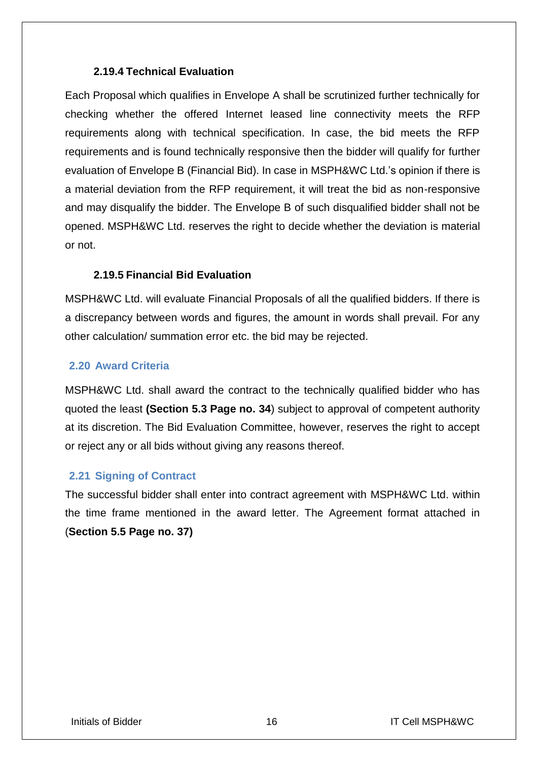#### **2.19.4 Technical Evaluation**

Each Proposal which qualifies in Envelope A shall be scrutinized further technically for checking whether the offered Internet leased line connectivity meets the RFP requirements along with technical specification. In case, the bid meets the RFP requirements and is found technically responsive then the bidder will qualify for further evaluation of Envelope B (Financial Bid). In case in MSPH&WC Ltd.'s opinion if there is a material deviation from the RFP requirement, it will treat the bid as non-responsive and may disqualify the bidder. The Envelope B of such disqualified bidder shall not be opened. MSPH&WC Ltd. reserves the right to decide whether the deviation is material or not.

## **2.19.5 Financial Bid Evaluation**

MSPH&WC Ltd. will evaluate Financial Proposals of all the qualified bidders. If there is a discrepancy between words and figures, the amount in words shall prevail. For any other calculation/ summation error etc. the bid may be rejected.

## <span id="page-16-0"></span>**2.20 Award Criteria**

MSPH&WC Ltd. shall award the contract to the technically qualified bidder who has quoted the least **(Section 5.3 Page no. 34**) subject to approval of competent authority at its discretion. The Bid Evaluation Committee, however, reserves the right to accept or reject any or all bids without giving any reasons thereof.

## <span id="page-16-1"></span>**2.21 Signing of Contract**

The successful bidder shall enter into contract agreement with MSPH&WC Ltd. within the time frame mentioned in the award letter. The Agreement format attached in (**Section 5.5 Page no. 37)**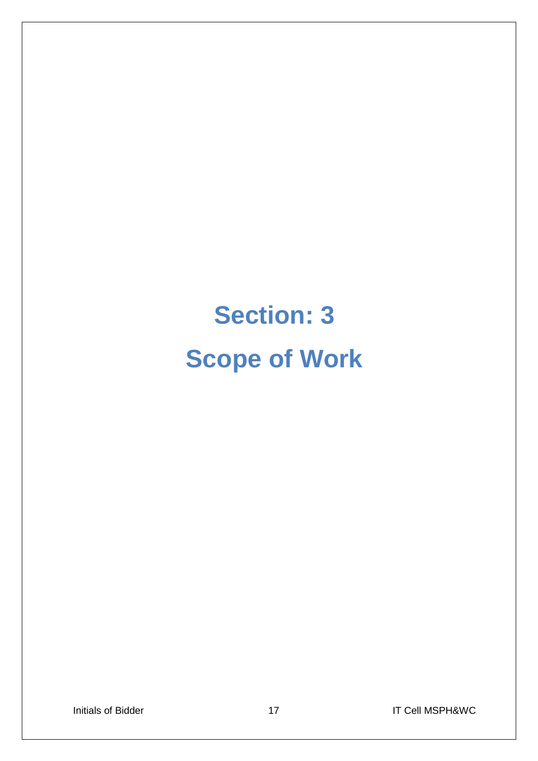# **Section: 3 Scope of Work**

Initials of Bidder 17 17 17 17 17 IT Cell MSPH&WC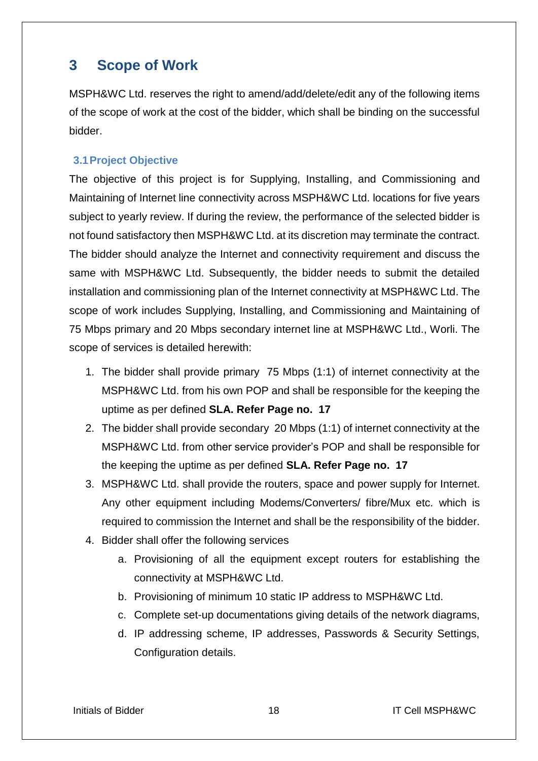# <span id="page-18-0"></span>**3 Scope of Work**

MSPH&WC Ltd. reserves the right to amend/add/delete/edit any of the following items of the scope of work at the cost of the bidder, which shall be binding on the successful bidder.

## <span id="page-18-1"></span>**3.1Project Objective**

The objective of this project is for Supplying, Installing, and Commissioning and Maintaining of Internet line connectivity across MSPH&WC Ltd. locations for five years subject to yearly review. If during the review, the performance of the selected bidder is not found satisfactory then MSPH&WC Ltd. at its discretion may terminate the contract. The bidder should analyze the Internet and connectivity requirement and discuss the same with MSPH&WC Ltd. Subsequently, the bidder needs to submit the detailed installation and commissioning plan of the Internet connectivity at MSPH&WC Ltd. The scope of work includes Supplying, Installing, and Commissioning and Maintaining of 75 Mbps primary and 20 Mbps secondary internet line at MSPH&WC Ltd., Worli. The scope of services is detailed herewith:

- 1. The bidder shall provide primary 75 Mbps (1:1) of internet connectivity at the MSPH&WC Ltd. from his own POP and shall be responsible for the keeping the uptime as per defined **SLA. Refer Page no. 17**
- 2. The bidder shall provide secondary 20 Mbps (1:1) of internet connectivity at the MSPH&WC Ltd. from other service provider's POP and shall be responsible for the keeping the uptime as per defined **SLA. Refer Page no. 17**
- 3. MSPH&WC Ltd. shall provide the routers, space and power supply for Internet. Any other equipment including Modems/Converters/ fibre/Mux etc. which is required to commission the Internet and shall be the responsibility of the bidder.
- 4. Bidder shall offer the following services
	- a. Provisioning of all the equipment except routers for establishing the connectivity at MSPH&WC Ltd.
	- b. Provisioning of minimum 10 static IP address to MSPH&WC Ltd.
	- c. Complete set-up documentations giving details of the network diagrams,
	- d. IP addressing scheme, IP addresses, Passwords & Security Settings, Configuration details.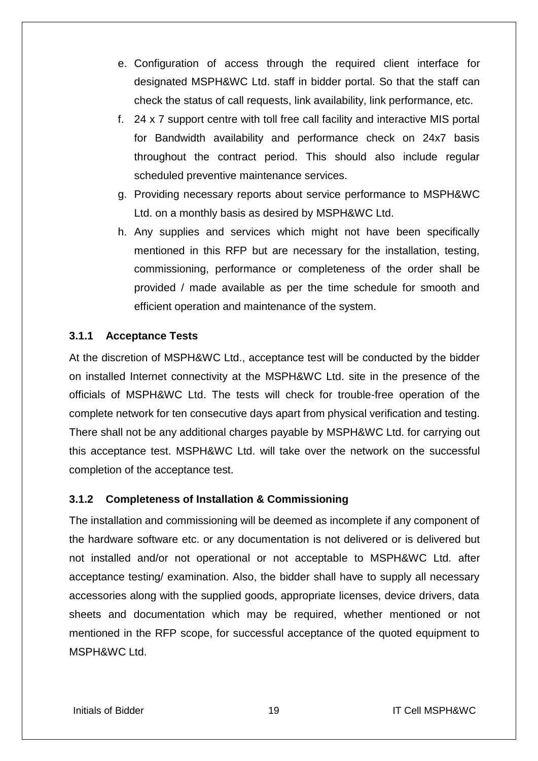- e. Configuration of access through the required client interface for designated MSPH&WC Ltd. staff in bidder portal. So that the staff can check the status of call requests, link availability, link performance, etc.
- f. 24 x 7 support centre with toll free call facility and interactive MIS portal for Bandwidth availability and performance check on 24x7 basis throughout the contract period. This should also include regular scheduled preventive maintenance services.
- g. Providing necessary reports about service performance to MSPH&WC Ltd. on a monthly basis as desired by MSPH&WC Ltd.
- h. Any supplies and services which might not have been specifically mentioned in this RFP but are necessary for the installation, testing, commissioning, performance or completeness of the order shall be provided / made available as per the time schedule for smooth and efficient operation and maintenance of the system.

## **3.1.1 Acceptance Tests**

At the discretion of MSPH&WC Ltd., acceptance test will be conducted by the bidder on installed Internet connectivity at the MSPH&WC Ltd. site in the presence of the officials of MSPH&WC Ltd. The tests will check for trouble-free operation of the complete network for ten consecutive days apart from physical verification and testing. There shall not be any additional charges payable by MSPH&WC Ltd. for carrying out this acceptance test. MSPH&WC Ltd. will take over the network on the successful completion of the acceptance test.

## **3.1.2 Completeness of Installation & Commissioning**

The installation and commissioning will be deemed as incomplete if any component of the hardware software etc. or any documentation is not delivered or is delivered but not installed and/or not operational or not acceptable to MSPH&WC Ltd. after acceptance testing/ examination. Also, the bidder shall have to supply all necessary accessories along with the supplied goods, appropriate licenses, device drivers, data sheets and documentation which may be required, whether mentioned or not mentioned in the RFP scope, for successful acceptance of the quoted equipment to MSPH&WC Ltd.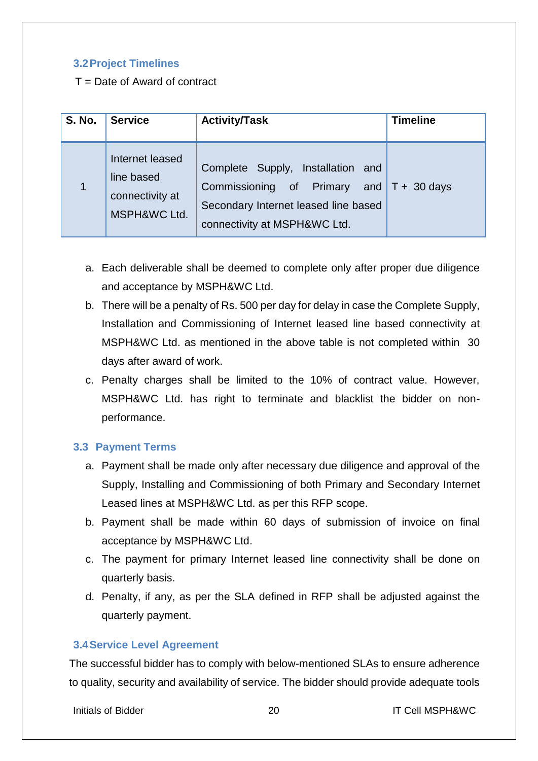## <span id="page-20-0"></span>**3.2Project Timelines**

 $T =$  Date of Award of contract

| <b>S. No.</b>  | <b>Service</b>                                                   | <b>Activity/Task</b>                                                                                                                                    | <b>Timeline</b> |
|----------------|------------------------------------------------------------------|---------------------------------------------------------------------------------------------------------------------------------------------------------|-----------------|
| $\overline{1}$ | Internet leased<br>line based<br>connectivity at<br>MSPH&WC Ltd. | Complete Supply, Installation and<br>Commissioning of Primary and $T + 30$ days<br>Secondary Internet leased line based<br>connectivity at MSPH&WC Ltd. |                 |

- a. Each deliverable shall be deemed to complete only after proper due diligence and acceptance by MSPH&WC Ltd.
- b. There will be a penalty of Rs. 500 per day for delay in case the Complete Supply, Installation and Commissioning of Internet leased line based connectivity at MSPH&WC Ltd. as mentioned in the above table is not completed within 30 days after award of work.
- c. Penalty charges shall be limited to the 10% of contract value. However, MSPH&WC Ltd. has right to terminate and blacklist the bidder on nonperformance.

## <span id="page-20-1"></span>**3.3 Payment Terms**

- a. Payment shall be made only after necessary due diligence and approval of the Supply, Installing and Commissioning of both Primary and Secondary Internet Leased lines at MSPH&WC Ltd. as per this RFP scope.
- b. Payment shall be made within 60 days of submission of invoice on final acceptance by MSPH&WC Ltd.
- c. The payment for primary Internet leased line connectivity shall be done on quarterly basis.
- d. Penalty, if any, as per the SLA defined in RFP shall be adjusted against the quarterly payment.

## <span id="page-20-2"></span>**3.4Service Level Agreement**

The successful bidder has to comply with below-mentioned SLAs to ensure adherence to quality, security and availability of service. The bidder should provide adequate tools

Initials of Bidder **20** 20 IT Cell MSPH&WC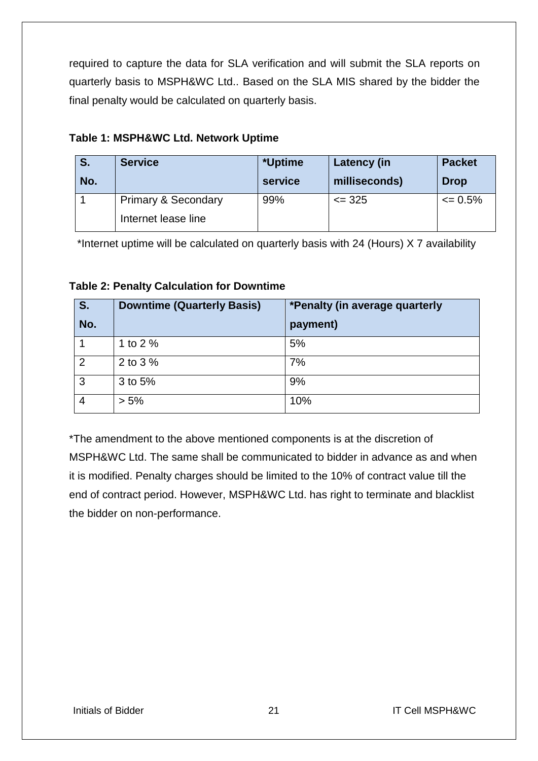required to capture the data for SLA verification and will submit the SLA reports on quarterly basis to MSPH&WC Ltd.. Based on the SLA MIS shared by the bidder the final penalty would be calculated on quarterly basis.

| S.  | <b>Service</b>                 | *Uptime | Latency (in   | <b>Packet</b> |
|-----|--------------------------------|---------|---------------|---------------|
| No. |                                | service | milliseconds) | <b>Drop</b>   |
|     | <b>Primary &amp; Secondary</b> | 99%     | $\leq$ 325    | $\leq 0.5\%$  |
|     | Internet lease line            |         |               |               |

## **Table 1: MSPH&WC Ltd. Network Uptime**

\*Internet uptime will be calculated on quarterly basis with 24 (Hours) X 7 availability

|  | <b>Table 2: Penalty Calculation for Downtime</b> |  |
|--|--------------------------------------------------|--|
|  |                                                  |  |

| S.             | <b>Downtime (Quarterly Basis)</b> | *Penalty (in average quarterly |
|----------------|-----------------------------------|--------------------------------|
| No.            |                                   | payment)                       |
|                | 1 to 2 $%$                        | 5%                             |
| $\overline{2}$ | 2 to 3 %                          | 7%                             |
| 3              | 3 to 5%                           | 9%                             |
| 4              | $> 5\%$                           | 10%                            |

\*The amendment to the above mentioned components is at the discretion of MSPH&WC Ltd. The same shall be communicated to bidder in advance as and when it is modified. Penalty charges should be limited to the 10% of contract value till the end of contract period. However, MSPH&WC Ltd. has right to terminate and blacklist the bidder on non-performance.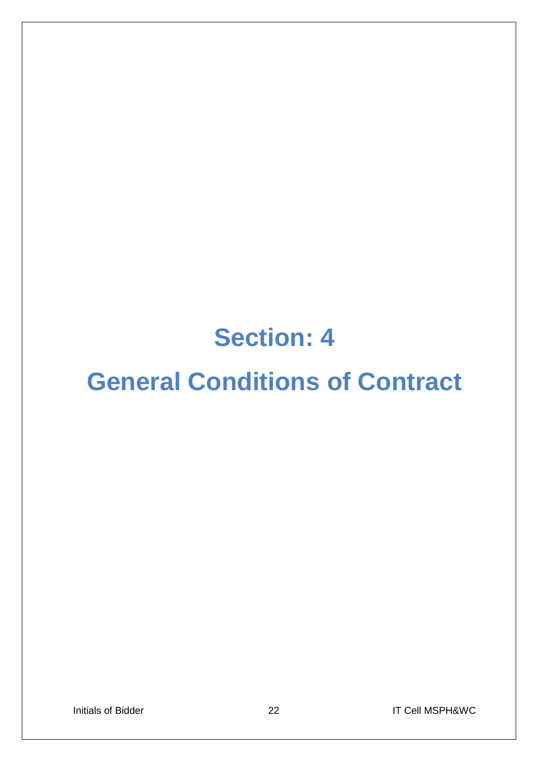# **Section: 4**

# **General Conditions of Contract**

Initials of Bidder 22 20 IT Cell MSPH&WC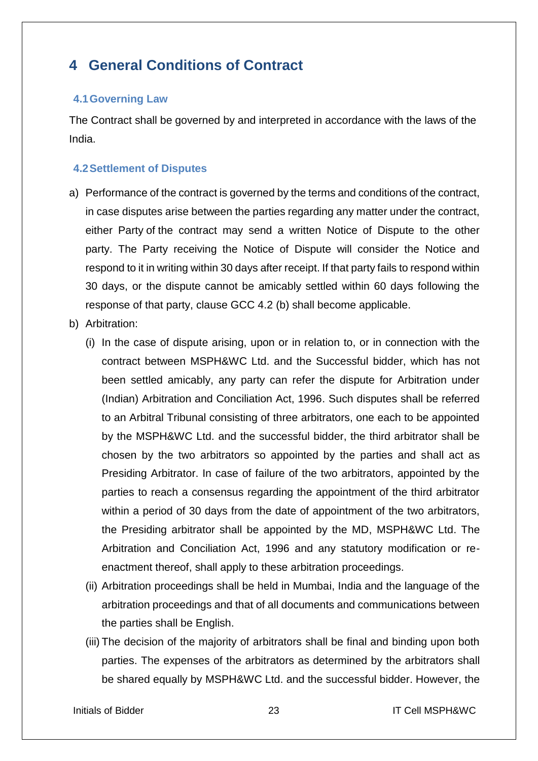# <span id="page-23-0"></span>**4 General Conditions of Contract**

## <span id="page-23-1"></span>**4.1Governing Law**

The Contract shall be governed by and interpreted in accordance with the laws of the India.

## <span id="page-23-2"></span>**4.2Settlement of Disputes**

- a) Performance of the contract is governed by the terms and conditions of the contract, in case disputes arise between the parties regarding any matter under the contract, either Party of the contract may send a written Notice of Dispute to the other party. The Party receiving the Notice of Dispute will consider the Notice and respond to it in writing within 30 days after receipt. If that party fails to respond within 30 days, or the dispute cannot be amicably settled within 60 days following the response of that party, clause GCC 4.2 (b) shall become applicable.
- b) Arbitration:
	- (i) In the case of dispute arising, upon or in relation to, or in connection with the contract between MSPH&WC Ltd. and the Successful bidder, which has not been settled amicably, any party can refer the dispute for Arbitration under (Indian) Arbitration and Conciliation Act, 1996. Such disputes shall be referred to an Arbitral Tribunal consisting of three arbitrators, one each to be appointed by the MSPH&WC Ltd. and the successful bidder, the third arbitrator shall be chosen by the two arbitrators so appointed by the parties and shall act as Presiding Arbitrator. In case of failure of the two arbitrators, appointed by the parties to reach a consensus regarding the appointment of the third arbitrator within a period of 30 days from the date of appointment of the two arbitrators, the Presiding arbitrator shall be appointed by the MD, MSPH&WC Ltd. The Arbitration and Conciliation Act, 1996 and any statutory modification or reenactment thereof, shall apply to these arbitration proceedings.
	- (ii) Arbitration proceedings shall be held in Mumbai, India and the language of the arbitration proceedings and that of all documents and communications between the parties shall be English.
	- (iii) The decision of the majority of arbitrators shall be final and binding upon both parties. The expenses of the arbitrators as determined by the arbitrators shall be shared equally by MSPH&WC Ltd. and the successful bidder. However, the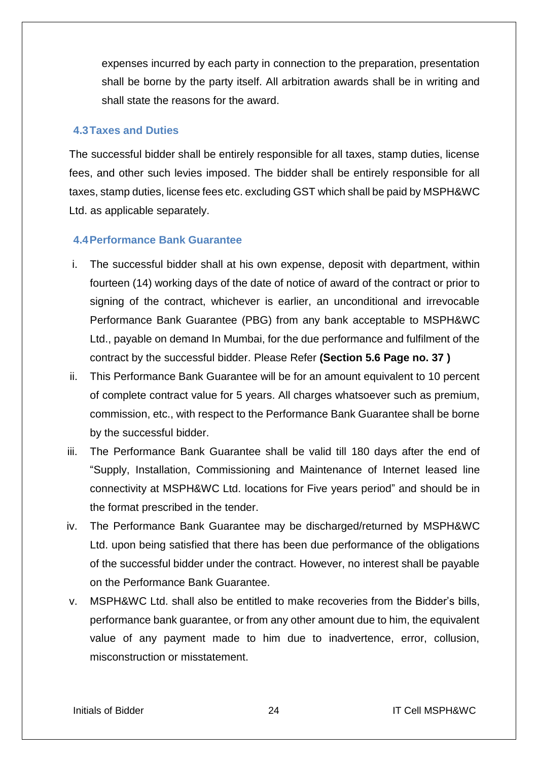expenses incurred by each party in connection to the preparation, presentation shall be borne by the party itself. All arbitration awards shall be in writing and shall state the reasons for the award.

## <span id="page-24-0"></span>**4.3Taxes and Duties**

The successful bidder shall be entirely responsible for all taxes, stamp duties, license fees, and other such levies imposed. The bidder shall be entirely responsible for all taxes, stamp duties, license fees etc. excluding GST which shall be paid by MSPH&WC Ltd. as applicable separately.

## <span id="page-24-1"></span>**4.4Performance Bank Guarantee**

- i. The successful bidder shall at his own expense, deposit with department, within fourteen (14) working days of the date of notice of award of the contract or prior to signing of the contract, whichever is earlier, an unconditional and irrevocable Performance Bank Guarantee (PBG) from any bank acceptable to MSPH&WC Ltd., payable on demand In Mumbai, for the due performance and fulfilment of the contract by the successful bidder. Please Refer **(Section 5.6 Page no. 37 )**
- ii. This Performance Bank Guarantee will be for an amount equivalent to 10 percent of complete contract value for 5 years. All charges whatsoever such as premium, commission, etc., with respect to the Performance Bank Guarantee shall be borne by the successful bidder.
- iii. The Performance Bank Guarantee shall be valid till 180 days after the end of "Supply, Installation, Commissioning and Maintenance of Internet leased line connectivity at MSPH&WC Ltd. locations for Five years period" and should be in the format prescribed in the tender.
- iv. The Performance Bank Guarantee may be discharged/returned by MSPH&WC Ltd. upon being satisfied that there has been due performance of the obligations of the successful bidder under the contract. However, no interest shall be payable on the Performance Bank Guarantee.
- v. MSPH&WC Ltd. shall also be entitled to make recoveries from the Bidder's bills, performance bank guarantee, or from any other amount due to him, the equivalent value of any payment made to him due to inadvertence, error, collusion, misconstruction or misstatement.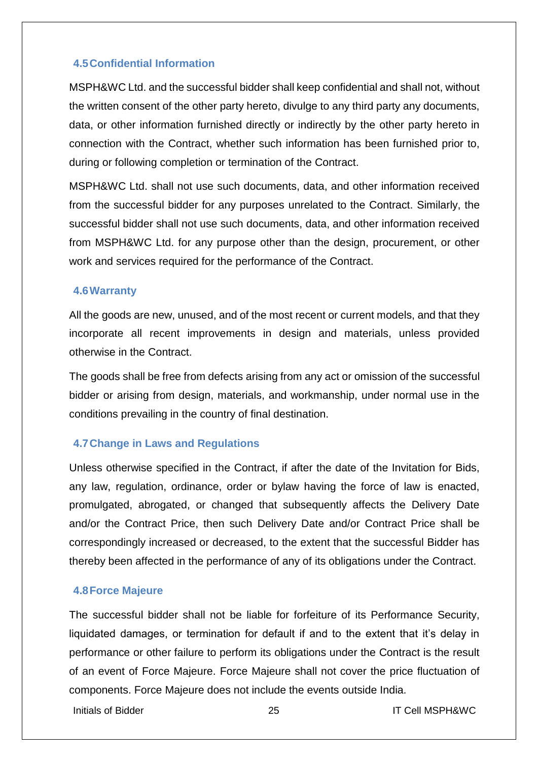## <span id="page-25-0"></span>**4.5Confidential Information**

MSPH&WC Ltd. and the successful bidder shall keep confidential and shall not, without the written consent of the other party hereto, divulge to any third party any documents, data, or other information furnished directly or indirectly by the other party hereto in connection with the Contract, whether such information has been furnished prior to, during or following completion or termination of the Contract.

MSPH&WC Ltd. shall not use such documents, data, and other information received from the successful bidder for any purposes unrelated to the Contract. Similarly, the successful bidder shall not use such documents, data, and other information received from MSPH&WC Ltd. for any purpose other than the design, procurement, or other work and services required for the performance of the Contract.

## <span id="page-25-1"></span>**4.6Warranty**

All the goods are new, unused, and of the most recent or current models, and that they incorporate all recent improvements in design and materials, unless provided otherwise in the Contract.

The goods shall be free from defects arising from any act or omission of the successful bidder or arising from design, materials, and workmanship, under normal use in the conditions prevailing in the country of final destination.

## <span id="page-25-2"></span>**4.7Change in Laws and Regulations**

Unless otherwise specified in the Contract, if after the date of the Invitation for Bids, any law, regulation, ordinance, order or bylaw having the force of law is enacted, promulgated, abrogated, or changed that subsequently affects the Delivery Date and/or the Contract Price, then such Delivery Date and/or Contract Price shall be correspondingly increased or decreased, to the extent that the successful Bidder has thereby been affected in the performance of any of its obligations under the Contract.

## <span id="page-25-3"></span>**4.8Force Majeure**

The successful bidder shall not be liable for forfeiture of its Performance Security, liquidated damages, or termination for default if and to the extent that it's delay in performance or other failure to perform its obligations under the Contract is the result of an event of Force Majeure. Force Majeure shall not cover the price fluctuation of components. Force Majeure does not include the events outside India.

Initials of Bidder **25** 25 IT Cell MSPH&WC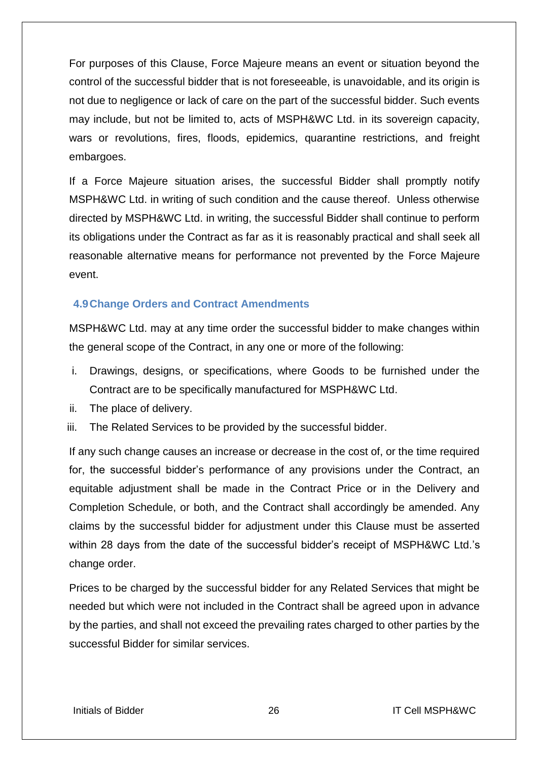For purposes of this Clause, Force Majeure means an event or situation beyond the control of the successful bidder that is not foreseeable, is unavoidable, and its origin is not due to negligence or lack of care on the part of the successful bidder. Such events may include, but not be limited to, acts of MSPH&WC Ltd. in its sovereign capacity, wars or revolutions, fires, floods, epidemics, quarantine restrictions, and freight embargoes.

If a Force Majeure situation arises, the successful Bidder shall promptly notify MSPH&WC Ltd. in writing of such condition and the cause thereof. Unless otherwise directed by MSPH&WC Ltd. in writing, the successful Bidder shall continue to perform its obligations under the Contract as far as it is reasonably practical and shall seek all reasonable alternative means for performance not prevented by the Force Majeure event.

## <span id="page-26-0"></span>**4.9Change Orders and Contract Amendments**

MSPH&WC Ltd. may at any time order the successful bidder to make changes within the general scope of the Contract, in any one or more of the following:

- i. Drawings, designs, or specifications, where Goods to be furnished under the Contract are to be specifically manufactured for MSPH&WC Ltd.
- ii. The place of delivery.
- iii. The Related Services to be provided by the successful bidder.

If any such change causes an increase or decrease in the cost of, or the time required for, the successful bidder's performance of any provisions under the Contract, an equitable adjustment shall be made in the Contract Price or in the Delivery and Completion Schedule, or both, and the Contract shall accordingly be amended. Any claims by the successful bidder for adjustment under this Clause must be asserted within 28 days from the date of the successful bidder's receipt of MSPH&WC Ltd.'s change order.

Prices to be charged by the successful bidder for any Related Services that might be needed but which were not included in the Contract shall be agreed upon in advance by the parties, and shall not exceed the prevailing rates charged to other parties by the successful Bidder for similar services.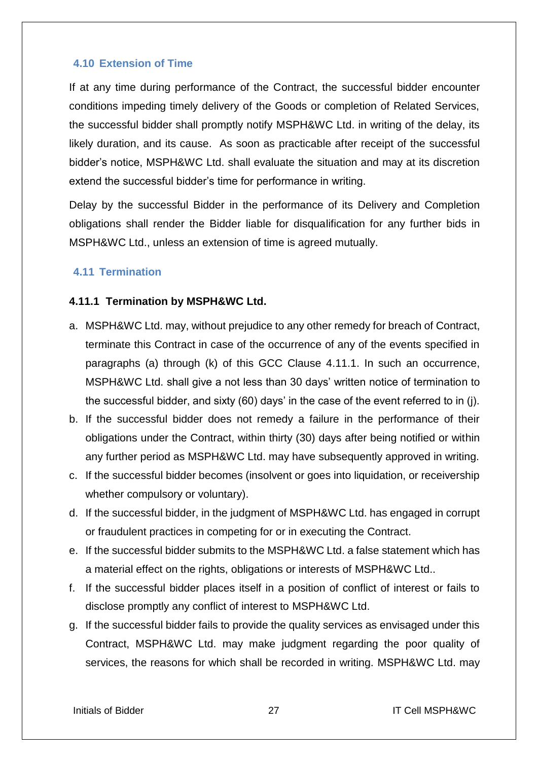### <span id="page-27-0"></span>**4.10 Extension of Time**

If at any time during performance of the Contract, the successful bidder encounter conditions impeding timely delivery of the Goods or completion of Related Services, the successful bidder shall promptly notify MSPH&WC Ltd. in writing of the delay, its likely duration, and its cause. As soon as practicable after receipt of the successful bidder's notice, MSPH&WC Ltd. shall evaluate the situation and may at its discretion extend the successful bidder's time for performance in writing.

Delay by the successful Bidder in the performance of its Delivery and Completion obligations shall render the Bidder liable for disqualification for any further bids in MSPH&WC Ltd., unless an extension of time is agreed mutually.

## <span id="page-27-1"></span>**4.11 Termination**

#### **4.11.1 Termination by MSPH&WC Ltd.**

- a. MSPH&WC Ltd. may, without prejudice to any other remedy for breach of Contract, terminate this Contract in case of the occurrence of any of the events specified in paragraphs (a) through (k) of this GCC Clause 4.11.1. In such an occurrence, MSPH&WC Ltd. shall give a not less than 30 days' written notice of termination to the successful bidder, and sixty (60) days' in the case of the event referred to in (j).
- b. If the successful bidder does not remedy a failure in the performance of their obligations under the Contract, within thirty (30) days after being notified or within any further period as MSPH&WC Ltd. may have subsequently approved in writing.
- c. If the successful bidder becomes (insolvent or goes into liquidation, or receivership whether compulsory or voluntary).
- d. If the successful bidder, in the judgment of MSPH&WC Ltd. has engaged in corrupt or fraudulent practices in competing for or in executing the Contract.
- e. If the successful bidder submits to the MSPH&WC Ltd. a false statement which has a material effect on the rights, obligations or interests of MSPH&WC Ltd..
- f. If the successful bidder places itself in a position of conflict of interest or fails to disclose promptly any conflict of interest to MSPH&WC Ltd.
- g. If the successful bidder fails to provide the quality services as envisaged under this Contract, MSPH&WC Ltd. may make judgment regarding the poor quality of services, the reasons for which shall be recorded in writing. MSPH&WC Ltd. may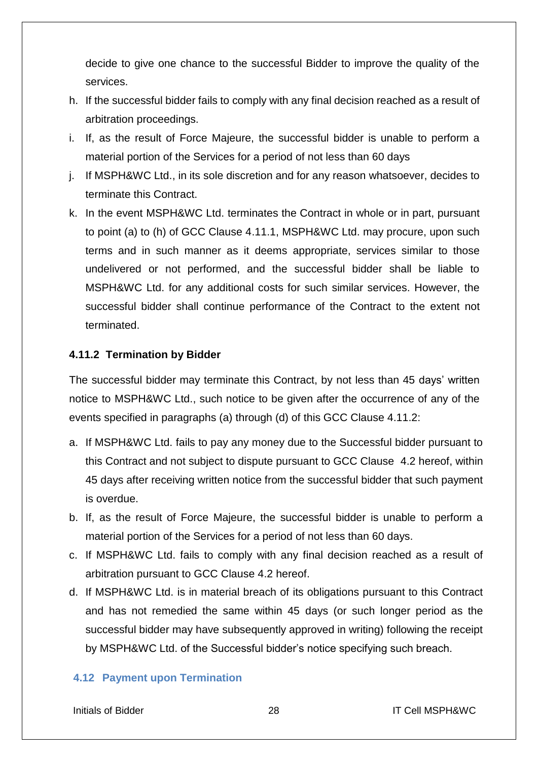decide to give one chance to the successful Bidder to improve the quality of the services.

- h. If the successful bidder fails to comply with any final decision reached as a result of arbitration proceedings.
- i. If, as the result of Force Majeure, the successful bidder is unable to perform a material portion of the Services for a period of not less than 60 days
- j. If MSPH&WC Ltd., in its sole discretion and for any reason whatsoever, decides to terminate this Contract.
- k. In the event MSPH&WC Ltd. terminates the Contract in whole or in part, pursuant to point (a) to (h) of GCC Clause 4.11.1, MSPH&WC Ltd. may procure, upon such terms and in such manner as it deems appropriate, services similar to those undelivered or not performed, and the successful bidder shall be liable to MSPH&WC Ltd. for any additional costs for such similar services. However, the successful bidder shall continue performance of the Contract to the extent not terminated.

## **4.11.2 Termination by Bidder**

The successful bidder may terminate this Contract, by not less than 45 days' written notice to MSPH&WC Ltd., such notice to be given after the occurrence of any of the events specified in paragraphs (a) through (d) of this GCC Clause 4.11.2:

- a. If MSPH&WC Ltd. fails to pay any money due to the Successful bidder pursuant to this Contract and not subject to dispute pursuant to GCC Clause 4.2 hereof, within 45 days after receiving written notice from the successful bidder that such payment is overdue.
- b. If, as the result of Force Majeure, the successful bidder is unable to perform a material portion of the Services for a period of not less than 60 days.
- c. If MSPH&WC Ltd. fails to comply with any final decision reached as a result of arbitration pursuant to GCC Clause 4.2 hereof.
- d. If MSPH&WC Ltd. is in material breach of its obligations pursuant to this Contract and has not remedied the same within 45 days (or such longer period as the successful bidder may have subsequently approved in writing) following the receipt by MSPH&WC Ltd. of the Successful bidder's notice specifying such breach.

## <span id="page-28-0"></span>**4.12 Payment upon Termination**

Initials of Bidder 28 IT Cell MSPH&WC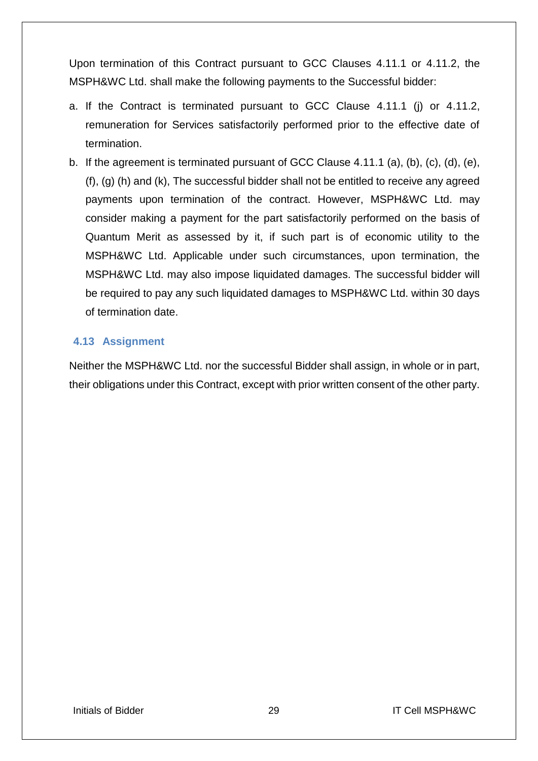Upon termination of this Contract pursuant to GCC Clauses 4.11.1 or 4.11.2, the MSPH&WC Ltd. shall make the following payments to the Successful bidder:

- a. If the Contract is terminated pursuant to GCC Clause 4.11.1 (j) or 4.11.2, remuneration for Services satisfactorily performed prior to the effective date of termination.
- b. If the agreement is terminated pursuant of GCC Clause 4.11.1 (a), (b), (c), (d), (e), (f), (g) (h) and (k), The successful bidder shall not be entitled to receive any agreed payments upon termination of the contract. However, MSPH&WC Ltd. may consider making a payment for the part satisfactorily performed on the basis of Quantum Merit as assessed by it, if such part is of economic utility to the MSPH&WC Ltd. Applicable under such circumstances, upon termination, the MSPH&WC Ltd. may also impose liquidated damages. The successful bidder will be required to pay any such liquidated damages to MSPH&WC Ltd. within 30 days of termination date.

#### <span id="page-29-0"></span>**4.13 Assignment**

Neither the MSPH&WC Ltd. nor the successful Bidder shall assign, in whole or in part, their obligations under this Contract, except with prior written consent of the other party.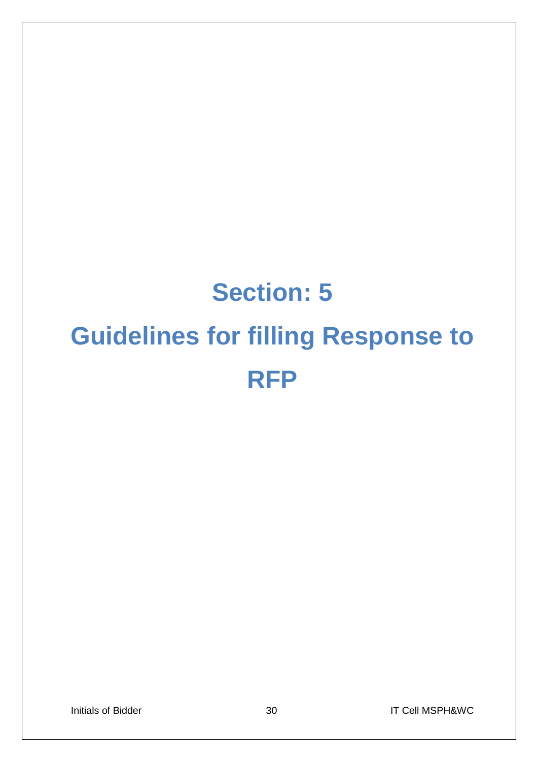# **Section: 5 Guidelines for filling Response to RFP**

Initials of Bidder 1980 and 30 IT Cell MSPH&WC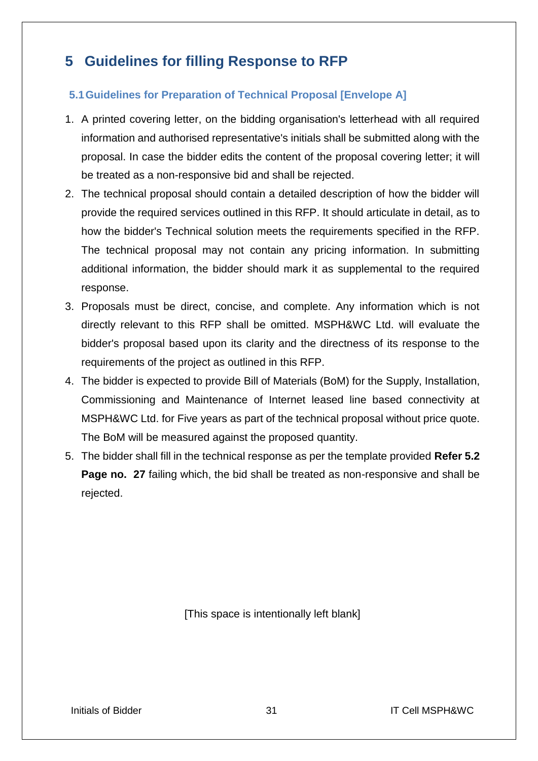# <span id="page-31-0"></span>**5 Guidelines for filling Response to RFP**

## <span id="page-31-1"></span>**5.1Guidelines for Preparation of Technical Proposal [Envelope A]**

- 1. A printed covering letter, on the bidding organisation's letterhead with all required information and authorised representative's initials shall be submitted along with the proposal. In case the bidder edits the content of the proposal covering letter; it will be treated as a non-responsive bid and shall be rejected.
- 2. The technical proposal should contain a detailed description of how the bidder will provide the required services outlined in this RFP. It should articulate in detail, as to how the bidder's Technical solution meets the requirements specified in the RFP. The technical proposal may not contain any pricing information. In submitting additional information, the bidder should mark it as supplemental to the required response.
- 3. Proposals must be direct, concise, and complete. Any information which is not directly relevant to this RFP shall be omitted. MSPH&WC Ltd. will evaluate the bidder's proposal based upon its clarity and the directness of its response to the requirements of the project as outlined in this RFP.
- 4. The bidder is expected to provide Bill of Materials (BoM) for the Supply, Installation, Commissioning and Maintenance of Internet leased line based connectivity at MSPH&WC Ltd. for Five years as part of the technical proposal without price quote. The BoM will be measured against the proposed quantity.
- 5. The bidder shall fill in the technical response as per the template provided **Refer 5.2 Page no. 27** failing which, the bid shall be treated as non-responsive and shall be rejected.

[This space is intentionally left blank]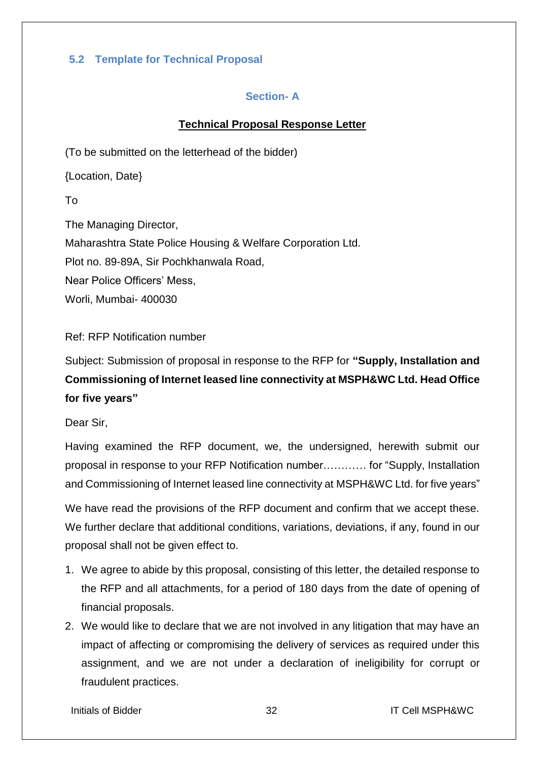## <span id="page-32-1"></span><span id="page-32-0"></span>**5.2 Template for Technical Proposal**

## **Section- A**

## **Technical Proposal Response Letter**

(To be submitted on the letterhead of the bidder)

{Location, Date}

To

The Managing Director, Maharashtra State Police Housing & Welfare Corporation Ltd. Plot no. 89-89A, Sir Pochkhanwala Road, Near Police Officers' Mess, Worli, Mumbai- 400030

Ref: RFP Notification number

Subject: Submission of proposal in response to the RFP for **"Supply, Installation and Commissioning of Internet leased line connectivity at MSPH&WC Ltd. Head Office for five years"**

Dear Sir,

Having examined the RFP document, we, the undersigned, herewith submit our proposal in response to your RFP Notification number………… for "Supply, Installation and Commissioning of Internet leased line connectivity at MSPH&WC Ltd. for five years"

We have read the provisions of the RFP document and confirm that we accept these. We further declare that additional conditions, variations, deviations, if any, found in our proposal shall not be given effect to.

- 1. We agree to abide by this proposal, consisting of this letter, the detailed response to the RFP and all attachments, for a period of 180 days from the date of opening of financial proposals.
- 2. We would like to declare that we are not involved in any litigation that may have an impact of affecting or compromising the delivery of services as required under this assignment, and we are not under a declaration of ineligibility for corrupt or fraudulent practices.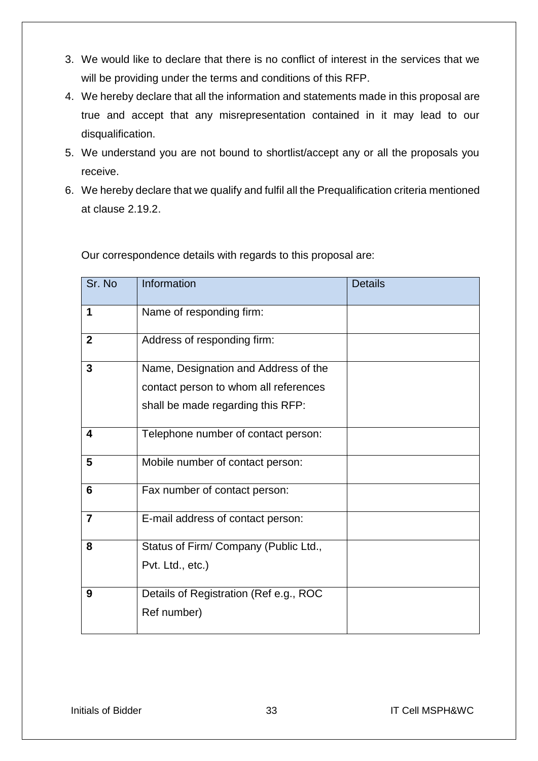- 3. We would like to declare that there is no conflict of interest in the services that we will be providing under the terms and conditions of this RFP.
- 4. We hereby declare that all the information and statements made in this proposal are true and accept that any misrepresentation contained in it may lead to our disqualification.
- 5. We understand you are not bound to shortlist/accept any or all the proposals you receive.
- 6. We hereby declare that we qualify and fulfil all the Prequalification criteria mentioned at clause 2.19.2.

| Sr. No         | Information                            | <b>Details</b> |
|----------------|----------------------------------------|----------------|
| 1              | Name of responding firm:               |                |
| $\mathbf{2}$   | Address of responding firm:            |                |
| 3              | Name, Designation and Address of the   |                |
|                | contact person to whom all references  |                |
|                | shall be made regarding this RFP:      |                |
| 4              | Telephone number of contact person:    |                |
| 5              | Mobile number of contact person:       |                |
| 6              | Fax number of contact person:          |                |
| $\overline{7}$ | E-mail address of contact person:      |                |
| 8              | Status of Firm/ Company (Public Ltd.,  |                |
|                | Pvt. Ltd., etc.)                       |                |
| 9              | Details of Registration (Ref e.g., ROC |                |
|                | Ref number)                            |                |

Our correspondence details with regards to this proposal are: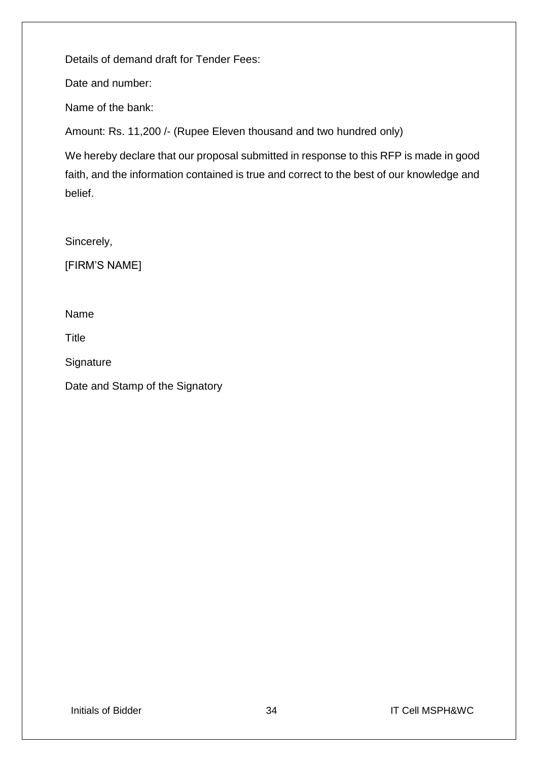Details of demand draft for Tender Fees:

Date and number:

Name of the bank:

Amount: Rs. 11,200 /- (Rupee Eleven thousand and two hundred only)

We hereby declare that our proposal submitted in response to this RFP is made in good faith, and the information contained is true and correct to the best of our knowledge and belief.

Sincerely,

[FIRM'S NAME]

Name

Title

**Signature** 

Date and Stamp of the Signatory

Initials of Bidder 34 **34** IT Cell MSPH&WC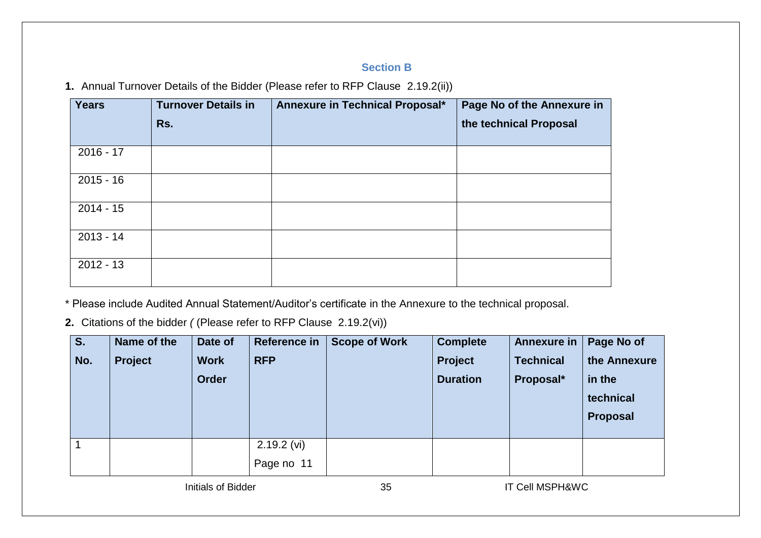## **Section B**

**1.** Annual Turnover Details of the Bidder (Please refer to RFP Clause 2.19.2(ii))

| <b>Years</b> | <b>Turnover Details in</b> | Annexure in Technical Proposal* | Page No of the Annexure in |
|--------------|----------------------------|---------------------------------|----------------------------|
|              | Rs.                        |                                 | the technical Proposal     |
| $2016 - 17$  |                            |                                 |                            |
| $2015 - 16$  |                            |                                 |                            |
| $2014 - 15$  |                            |                                 |                            |
| $2013 - 14$  |                            |                                 |                            |
| $2012 - 13$  |                            |                                 |                            |

<span id="page-35-0"></span>\* Please include Audited Annual Statement/Auditor's certificate in the Annexure to the technical proposal.

**2.** Citations of the bidder *(* (Please refer to RFP Clause 2.19.2(vi))

| Name of the | Date of      | Reference in  | <b>Scope of Work</b> | <b>Complete</b> | <b>Annexure in</b> | Page No of      |
|-------------|--------------|---------------|----------------------|-----------------|--------------------|-----------------|
| Project     | <b>Work</b>  | <b>RFP</b>    |                      | Project         | <b>Technical</b>   | the Annexure    |
|             | <b>Order</b> |               |                      | <b>Duration</b> | Proposal*          | in the          |
|             |              |               |                      |                 |                    | technical       |
|             |              |               |                      |                 |                    | <b>Proposal</b> |
|             |              |               |                      |                 |                    |                 |
|             |              | $2.19.2$ (vi) |                      |                 |                    |                 |
|             |              | Page no 11    |                      |                 |                    |                 |
|             |              |               |                      |                 |                    |                 |

Initials of Bidder 35 35 IT Cell MSPH&WC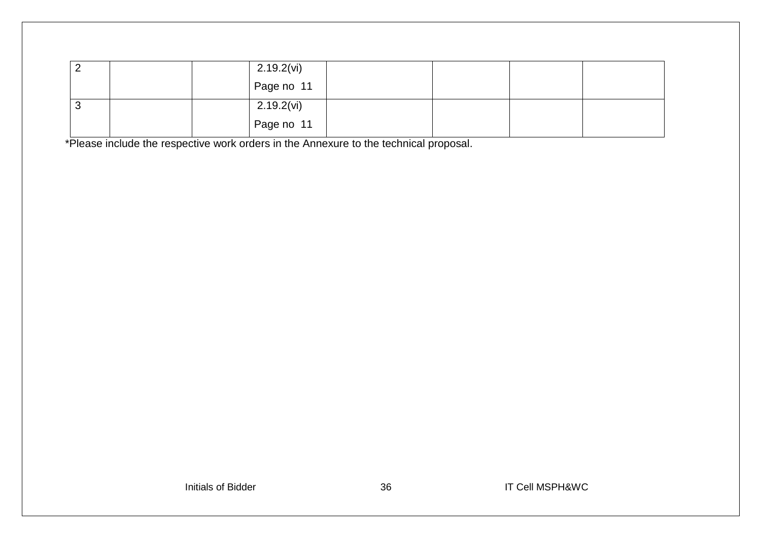| ∠ | $2.19.2$ (vi) |  |  |
|---|---------------|--|--|
|   | Page no 11    |  |  |
| ັ | $2.19.2$ (vi) |  |  |
|   | Page no 11    |  |  |

\*Please include the respective work orders in the Annexure to the technical proposal.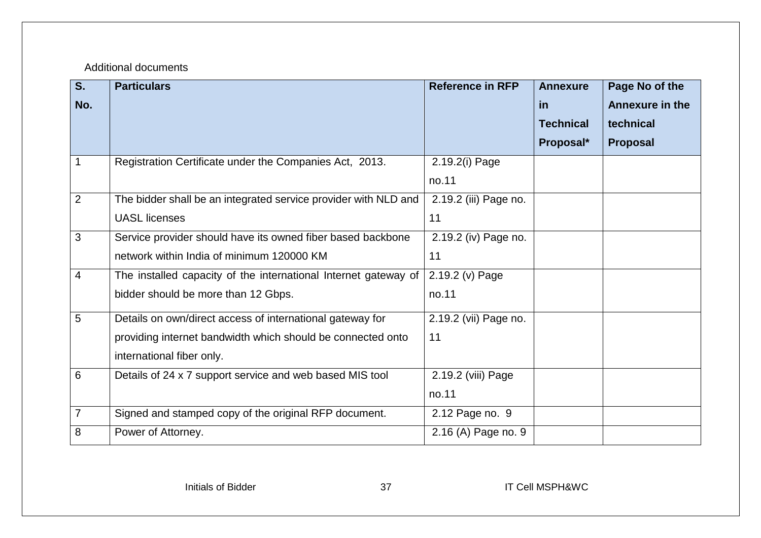## Additional documents

| S <sub>1</sub> | <b>Particulars</b>                                              | <b>Reference in RFP</b> | <b>Annexure</b>  | Page No of the         |
|----------------|-----------------------------------------------------------------|-------------------------|------------------|------------------------|
| No.            |                                                                 |                         | in               | <b>Annexure in the</b> |
|                |                                                                 |                         | <b>Technical</b> | technical              |
|                |                                                                 |                         | Proposal*        | <b>Proposal</b>        |
| $\mathbf 1$    | Registration Certificate under the Companies Act, 2013.         | 2.19.2(i) Page          |                  |                        |
|                |                                                                 | no.11                   |                  |                        |
| $\overline{2}$ | The bidder shall be an integrated service provider with NLD and | 2.19.2 (iii) Page no.   |                  |                        |
|                | <b>UASL licenses</b>                                            | 11                      |                  |                        |
| 3              | Service provider should have its owned fiber based backbone     | 2.19.2 (iv) Page no.    |                  |                        |
|                | network within India of minimum 120000 KM                       | 11                      |                  |                        |
| $\overline{4}$ | The installed capacity of the international Internet gateway of | 2.19.2 (v) Page         |                  |                        |
|                | bidder should be more than 12 Gbps.                             | no.11                   |                  |                        |
| 5              | Details on own/direct access of international gateway for       | 2.19.2 (vii) Page no.   |                  |                        |
|                | providing internet bandwidth which should be connected onto     | 11                      |                  |                        |
|                | international fiber only.                                       |                         |                  |                        |
| 6              | Details of 24 x 7 support service and web based MIS tool        | 2.19.2 (viii) Page      |                  |                        |
|                |                                                                 | no.11                   |                  |                        |
| $\overline{7}$ | Signed and stamped copy of the original RFP document.           | 2.12 Page no. 9         |                  |                        |
| 8              | Power of Attorney.                                              | 2.16 (A) Page no. 9     |                  |                        |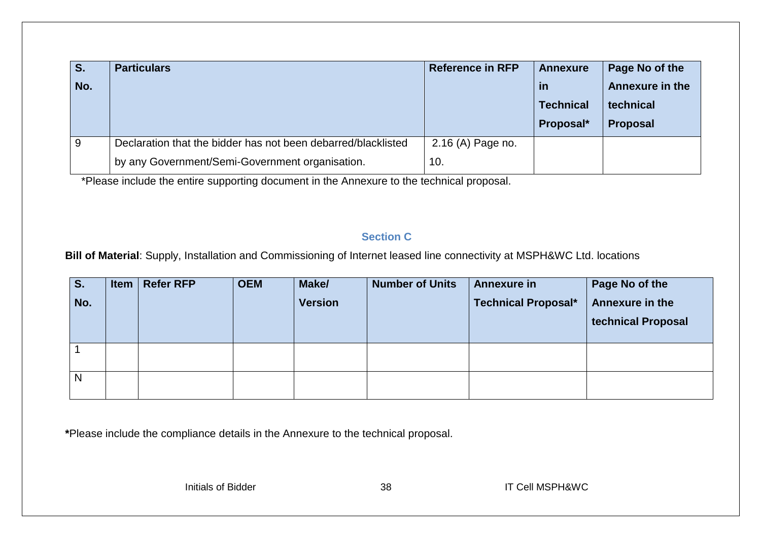| S.  | <b>Particulars</b>                                            | <b>Reference in RFP</b> | <b>Annexure</b>  | Page No of the         |
|-----|---------------------------------------------------------------|-------------------------|------------------|------------------------|
| No. |                                                               |                         | <b>in</b>        | <b>Annexure in the</b> |
|     |                                                               |                         | <b>Technical</b> | technical              |
|     |                                                               |                         | Proposal*        | Proposal               |
| 9   | Declaration that the bidder has not been debarred/blacklisted | 2.16 (A) Page no.       |                  |                        |
|     | by any Government/Semi-Government organisation.               | 10.                     |                  |                        |

\*Please include the entire supporting document in the Annexure to the technical proposal.

## **Section C**

**Bill of Material**: Supply, Installation and Commissioning of Internet leased line connectivity at MSPH&WC Ltd. locations

| S.  | <b>Item</b> | <b>Refer RFP</b> | <b>OEM</b> | Make/          | <b>Number of Units</b> | <b>Annexure in</b>         | Page No of the     |
|-----|-------------|------------------|------------|----------------|------------------------|----------------------------|--------------------|
| No. |             |                  |            | <b>Version</b> |                        | <b>Technical Proposal*</b> | Annexure in the    |
|     |             |                  |            |                |                        |                            | technical Proposal |
|     |             |                  |            |                |                        |                            |                    |
|     |             |                  |            |                |                        |                            |                    |
|     |             |                  |            |                |                        |                            |                    |
| N   |             |                  |            |                |                        |                            |                    |
|     |             |                  |            |                |                        |                            |                    |

<span id="page-38-0"></span>**\***Please include the compliance details in the Annexure to the technical proposal.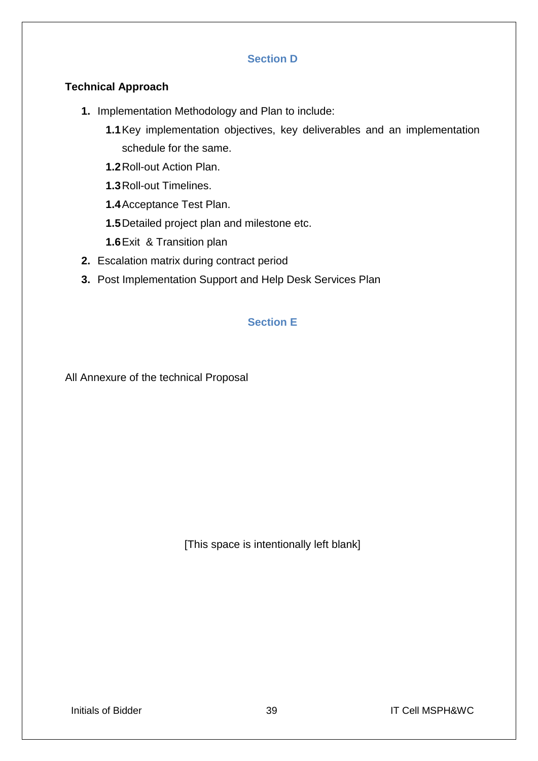## **Section D**

## <span id="page-39-0"></span>**Technical Approach**

- **1.** Implementation Methodology and Plan to include:
	- **1.1**Key implementation objectives, key deliverables and an implementation schedule for the same.
	- **1.2**Roll-out Action Plan.
	- **1.3**Roll-out Timelines.
	- **1.4**Acceptance Test Plan.
	- **1.5**Detailed project plan and milestone etc.
	- **1.6**Exit & Transition plan
- **2.** Escalation matrix during contract period
- <span id="page-39-1"></span>**3.** Post Implementation Support and Help Desk Services Plan

## **Section E**

All Annexure of the technical Proposal

[This space is intentionally left blank]

Initials of Bidder **39 1 IT Cell MSPH&WC**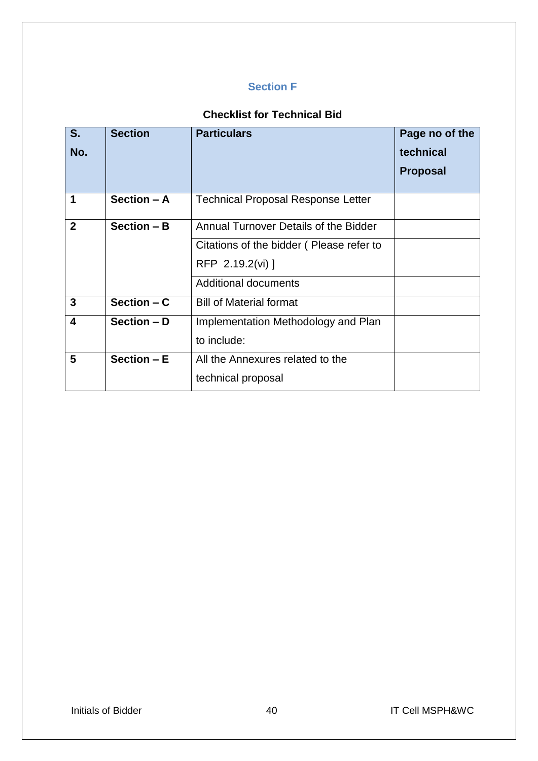## **Section F**

## **Checklist for Technical Bid**

<span id="page-40-0"></span>

| S.           | <b>Section</b> | <b>Particulars</b>                           | Page no of the  |
|--------------|----------------|----------------------------------------------|-----------------|
| No.          |                |                                              | technical       |
|              |                |                                              | <b>Proposal</b> |
|              |                |                                              |                 |
| 1            | Section - A    | <b>Technical Proposal Response Letter</b>    |                 |
| $\mathbf{2}$ | Section - B    | <b>Annual Turnover Details of the Bidder</b> |                 |
|              |                | Citations of the bidder (Please refer to     |                 |
|              |                | RFP 2.19.2(vi) ]                             |                 |
|              |                | <b>Additional documents</b>                  |                 |
| 3            | Section $- C$  | <b>Bill of Material format</b>               |                 |
| 4            | Section - D    | Implementation Methodology and Plan          |                 |
|              |                | to include:                                  |                 |
| 5            | Section $-E$   | All the Annexures related to the             |                 |
|              |                | technical proposal                           |                 |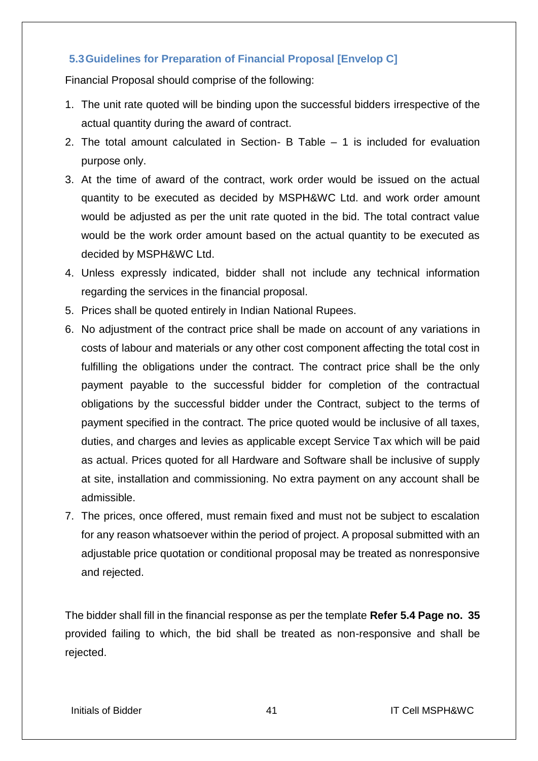## <span id="page-41-0"></span>**5.3Guidelines for Preparation of Financial Proposal [Envelop C]**

Financial Proposal should comprise of the following:

- 1. The unit rate quoted will be binding upon the successful bidders irrespective of the actual quantity during the award of contract.
- 2. The total amount calculated in Section- B Table 1 is included for evaluation purpose only.
- 3. At the time of award of the contract, work order would be issued on the actual quantity to be executed as decided by MSPH&WC Ltd. and work order amount would be adjusted as per the unit rate quoted in the bid. The total contract value would be the work order amount based on the actual quantity to be executed as decided by MSPH&WC Ltd.
- 4. Unless expressly indicated, bidder shall not include any technical information regarding the services in the financial proposal.
- 5. Prices shall be quoted entirely in Indian National Rupees.
- 6. No adjustment of the contract price shall be made on account of any variations in costs of labour and materials or any other cost component affecting the total cost in fulfilling the obligations under the contract. The contract price shall be the only payment payable to the successful bidder for completion of the contractual obligations by the successful bidder under the Contract, subject to the terms of payment specified in the contract. The price quoted would be inclusive of all taxes, duties, and charges and levies as applicable except Service Tax which will be paid as actual. Prices quoted for all Hardware and Software shall be inclusive of supply at site, installation and commissioning. No extra payment on any account shall be admissible.
- 7. The prices, once offered, must remain fixed and must not be subject to escalation for any reason whatsoever within the period of project. A proposal submitted with an adjustable price quotation or conditional proposal may be treated as nonresponsive and rejected.

The bidder shall fill in the financial response as per the template **Refer 5.4 Page no. 35** provided failing to which, the bid shall be treated as non-responsive and shall be rejected.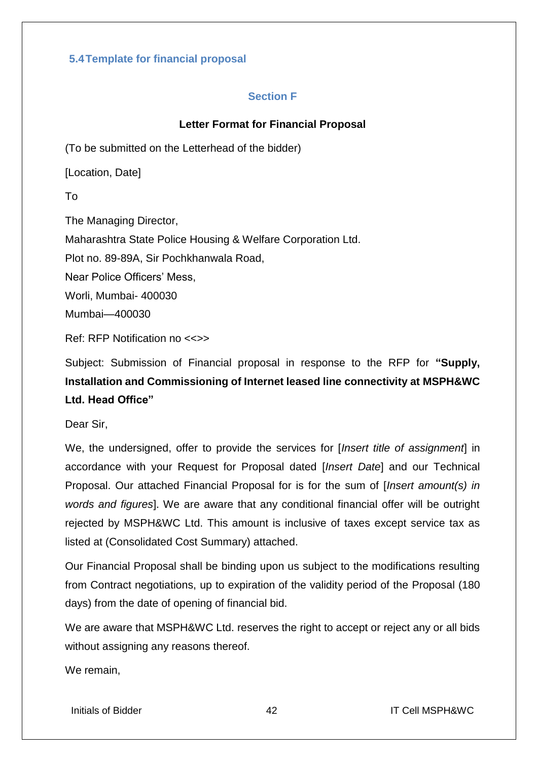## <span id="page-42-1"></span><span id="page-42-0"></span>**5.4Template for financial proposal**

## **Section F**

## **Letter Format for Financial Proposal**

(To be submitted on the Letterhead of the bidder)

[Location, Date]

To

Mumbai—400030 The Managing Director, Maharashtra State Police Housing & Welfare Corporation Ltd. Plot no. 89-89A, Sir Pochkhanwala Road, Near Police Officers' Mess, Worli, Mumbai- 400030

Ref: RFP Notification no <<>>

Subject: Submission of Financial proposal in response to the RFP for **"Supply, Installation and Commissioning of Internet leased line connectivity at MSPH&WC Ltd. Head Office"**

Dear Sir,

We, the undersigned, offer to provide the services for [*Insert title of assignment*] in accordance with your Request for Proposal dated [*Insert Date*] and our Technical Proposal. Our attached Financial Proposal for is for the sum of [*Insert amount(s) in words and figures*]. We are aware that any conditional financial offer will be outright rejected by MSPH&WC Ltd. This amount is inclusive of taxes except service tax as listed at (Consolidated Cost Summary) attached.

Our Financial Proposal shall be binding upon us subject to the modifications resulting from Contract negotiations, up to expiration of the validity period of the Proposal (180 days) from the date of opening of financial bid.

We are aware that MSPH&WC Ltd. reserves the right to accept or reject any or all bids without assigning any reasons thereof.

We remain,

Initials of Bidder **12** 12 1 1 **1** Apple 1 1 **IT Cell MSPH&WC**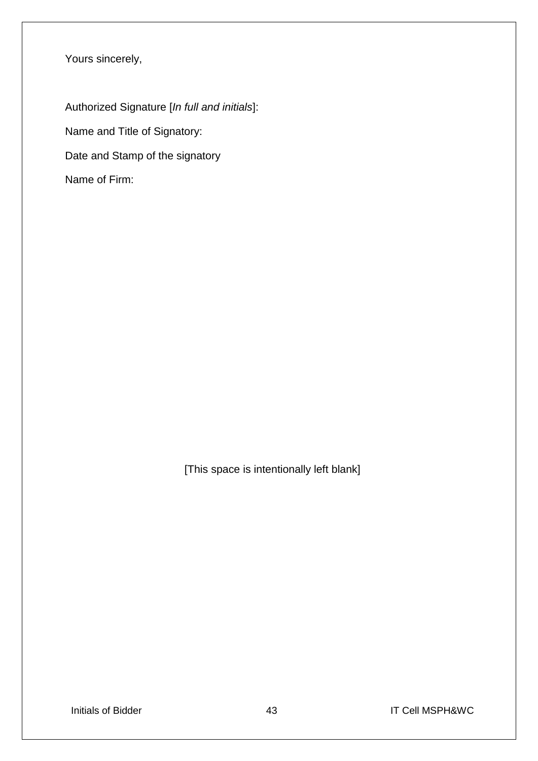Yours sincerely,

Authorized Signature [*In full and initials*]: Name and Title of Signatory: Date and Stamp of the signatory Name of Firm:

[This space is intentionally left blank]

Initials of Bidder **12 IT Cell MSPH&WC**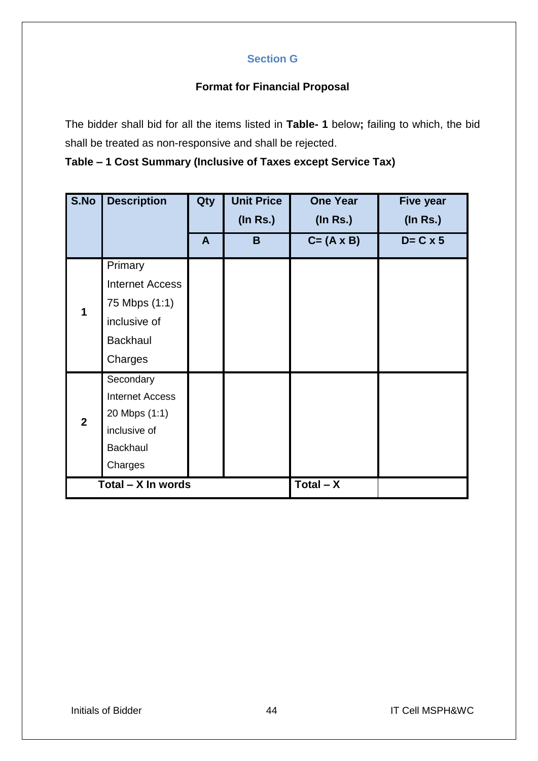## **Section G**

## **Format for Financial Proposal**

<span id="page-44-0"></span>The bidder shall bid for all the items listed in **Table- 1** below**;** failing to which, the bid shall be treated as non-responsive and shall be rejected.

**Table – 1 Cost Summary (Inclusive of Taxes except Service Tax)**

| S.No           | <b>Description</b>     | Qty          | <b>Unit Price</b> | <b>One Year</b>    | Five year        |
|----------------|------------------------|--------------|-------------------|--------------------|------------------|
|                |                        |              | $($ In Rs. $)$    | $($ In Rs. $)$     | $($ In Rs. $)$   |
|                |                        | $\mathsf{A}$ | B                 | $C = (A \times B)$ | $D = C \times 5$ |
|                | Primary                |              |                   |                    |                  |
|                | <b>Internet Access</b> |              |                   |                    |                  |
| 1              | 75 Mbps (1:1)          |              |                   |                    |                  |
|                | inclusive of           |              |                   |                    |                  |
|                | <b>Backhaul</b>        |              |                   |                    |                  |
|                | Charges                |              |                   |                    |                  |
|                | Secondary              |              |                   |                    |                  |
|                | <b>Internet Access</b> |              |                   |                    |                  |
| $\overline{2}$ | 20 Mbps (1:1)          |              |                   |                    |                  |
|                | inclusive of           |              |                   |                    |                  |
|                | <b>Backhaul</b>        |              |                   |                    |                  |
|                | Charges                |              |                   |                    |                  |
|                | Total - X In words     |              |                   | $Total - X$        |                  |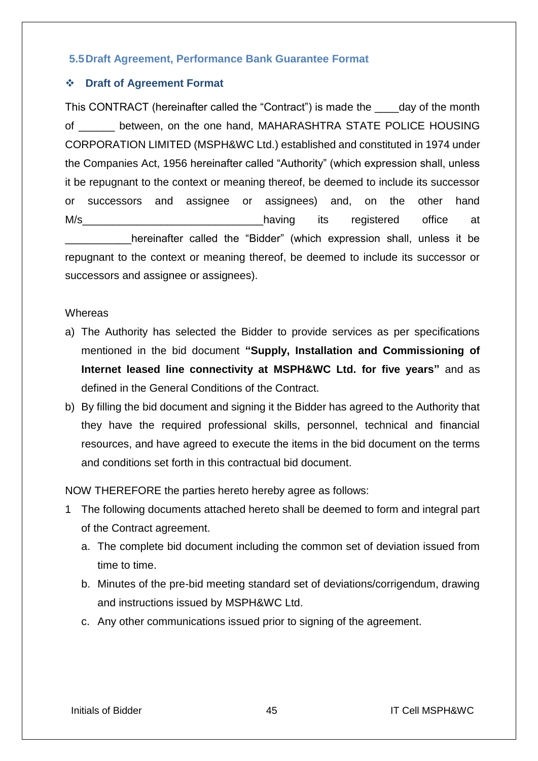## <span id="page-45-0"></span>**5.5Draft Agreement, Performance Bank Guarantee Format**

## **Draft of Agreement Format**

This CONTRACT (hereinafter called the "Contract") is made the \_\_\_\_day of the month of \_\_\_\_\_\_ between, on the one hand, MAHARASHTRA STATE POLICE HOUSING CORPORATION LIMITED (MSPH&WC Ltd.) established and constituted in 1974 under the Companies Act, 1956 hereinafter called "Authority" (which expression shall, unless it be repugnant to the context or meaning thereof, be deemed to include its successor or successors and assignee or assignees) and, on the other hand M/s and the matrice of the matrice of the matrice of the matrice of the matrice at  $\blacksquare$ hereinafter called the "Bidder" (which expression shall, unless it be repugnant to the context or meaning thereof, be deemed to include its successor or successors and assignee or assignees).

#### **Whereas**

- a) The Authority has selected the Bidder to provide services as per specifications mentioned in the bid document **"Supply, Installation and Commissioning of Internet leased line connectivity at MSPH&WC Ltd. for five years"** and as defined in the General Conditions of the Contract.
- b) By filling the bid document and signing it the Bidder has agreed to the Authority that they have the required professional skills, personnel, technical and financial resources, and have agreed to execute the items in the bid document on the terms and conditions set forth in this contractual bid document.

NOW THEREFORE the parties hereto hereby agree as follows:

- 1 The following documents attached hereto shall be deemed to form and integral part of the Contract agreement.
	- a. The complete bid document including the common set of deviation issued from time to time.
	- b. Minutes of the pre-bid meeting standard set of deviations/corrigendum, drawing and instructions issued by MSPH&WC Ltd.
	- c. Any other communications issued prior to signing of the agreement.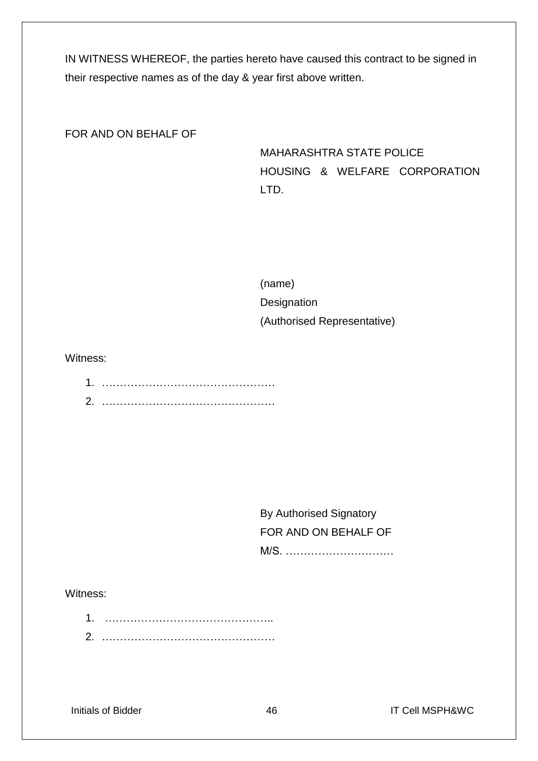IN WITNESS WHEREOF, the parties hereto have caused this contract to be signed in their respective names as of the day & year first above written.

FOR AND ON BEHALF OF

MAHARASHTRA STATE POLICE HOUSING & WELFARE CORPORATION LTD.

(name) **Designation** (Authorised Representative)

Witness:

| ۸ |  |
|---|--|
| ⌒ |  |

By Authorised Signatory FOR AND ON BEHALF OF M/S. …………………………

### Witness:

1. ……………………………………….. 2. …………………………………………

Initials of Bidder **1988** IT Cell MSPH&WC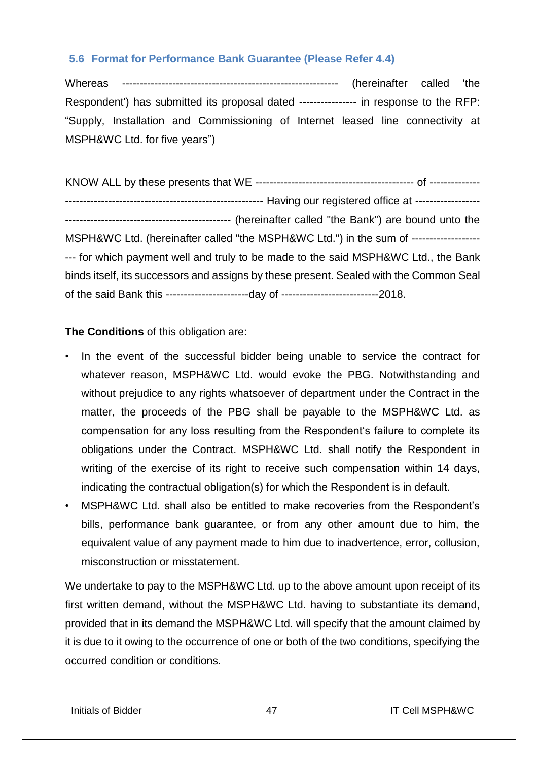## <span id="page-47-0"></span>**5.6 Format for Performance Bank Guarantee (Please Refer 4.4)**

Whereas ------------------------------------------------------------ (hereinafter called 'the Respondent') has submitted its proposal dated ---------------- in response to the RFP: "Supply, Installation and Commissioning of Internet leased line connectivity at MSPH&WC Ltd. for five years")

KNOW ALL by these presents that WE -------------------------------------------- of -------------- ------------------------------------------------------- Having our registered office at ------------------ ---------------------------------------------- (hereinafter called "the Bank") are bound unto the MSPH&WC Ltd. (hereinafter called "the MSPH&WC Ltd.") in the sum of ---------------------- for which payment well and truly to be made to the said MSPH&WC Ltd., the Bank binds itself, its successors and assigns by these present. Sealed with the Common Seal of the said Bank this -----------------------day of ---------------------------2018.

## **The Conditions** of this obligation are:

- In the event of the successful bidder being unable to service the contract for whatever reason, MSPH&WC Ltd. would evoke the PBG. Notwithstanding and without prejudice to any rights whatsoever of department under the Contract in the matter, the proceeds of the PBG shall be payable to the MSPH&WC Ltd. as compensation for any loss resulting from the Respondent's failure to complete its obligations under the Contract. MSPH&WC Ltd. shall notify the Respondent in writing of the exercise of its right to receive such compensation within 14 days, indicating the contractual obligation(s) for which the Respondent is in default.
- MSPH&WC Ltd. shall also be entitled to make recoveries from the Respondent's bills, performance bank guarantee, or from any other amount due to him, the equivalent value of any payment made to him due to inadvertence, error, collusion, misconstruction or misstatement.

We undertake to pay to the MSPH&WC Ltd. up to the above amount upon receipt of its first written demand, without the MSPH&WC Ltd. having to substantiate its demand, provided that in its demand the MSPH&WC Ltd. will specify that the amount claimed by it is due to it owing to the occurrence of one or both of the two conditions, specifying the occurred condition or conditions.